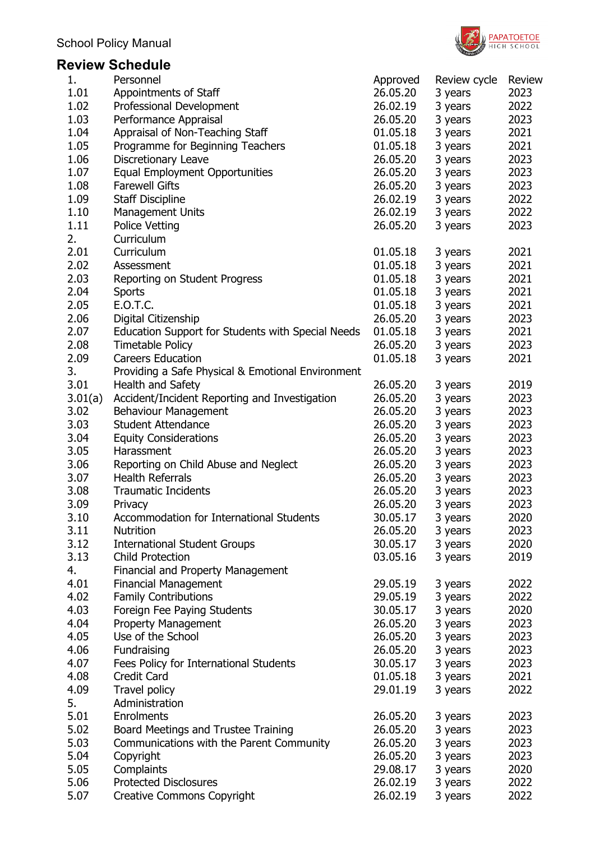

# **Review Schedule**

| 1.      | Personnel                                                | Approved | Review cycle | Review |
|---------|----------------------------------------------------------|----------|--------------|--------|
| 1.01    | Appointments of Staff                                    | 26.05.20 | 3 years      | 2023   |
| 1.02    | Professional Development                                 | 26.02.19 | 3 years      | 2022   |
| 1.03    | Performance Appraisal                                    | 26.05.20 | 3 years      | 2023   |
| 1.04    | Appraisal of Non-Teaching Staff                          | 01.05.18 | 3 years      | 2021   |
| 1.05    | Programme for Beginning Teachers                         | 01.05.18 | 3 years      | 2021   |
| 1.06    | Discretionary Leave                                      | 26.05.20 | 3 years      | 2023   |
| 1.07    | <b>Equal Employment Opportunities</b>                    | 26.05.20 | 3 years      | 2023   |
| 1.08    | <b>Farewell Gifts</b>                                    | 26.05.20 | 3 years      | 2023   |
| 1.09    | <b>Staff Discipline</b>                                  | 26.02.19 | 3 years      | 2022   |
| 1.10    | Management Units                                         | 26.02.19 | 3 years      | 2022   |
| 1.11    | <b>Police Vetting</b>                                    | 26.05.20 | 3 years      | 2023   |
| 2.      | Curriculum                                               |          |              |        |
| 2.01    | Curriculum                                               | 01.05.18 |              | 2021   |
| 2.02    |                                                          | 01.05.18 | 3 years      | 2021   |
|         | Assessment                                               |          | 3 years      |        |
| 2.03    | Reporting on Student Progress                            | 01.05.18 | 3 years      | 2021   |
| 2.04    | <b>Sports</b>                                            | 01.05.18 | 3 years      | 2021   |
| 2.05    | <b>E.O.T.C.</b>                                          | 01.05.18 | 3 years      | 2021   |
| 2.06    | Digital Citizenship                                      | 26.05.20 | 3 years      | 2023   |
| 2.07    | <b>Education Support for Students with Special Needs</b> | 01.05.18 | 3 years      | 2021   |
| 2.08    | <b>Timetable Policy</b>                                  | 26.05.20 | 3 years      | 2023   |
| 2.09    | <b>Careers Education</b>                                 | 01.05.18 | 3 years      | 2021   |
| 3.      | Providing a Safe Physical & Emotional Environment        |          |              |        |
| 3.01    | <b>Health and Safety</b>                                 | 26.05.20 | 3 years      | 2019   |
| 3.01(a) | Accident/Incident Reporting and Investigation            | 26.05.20 | 3 years      | 2023   |
| 3.02    | <b>Behaviour Management</b>                              | 26.05.20 | 3 years      | 2023   |
| 3.03    | <b>Student Attendance</b>                                | 26.05.20 | 3 years      | 2023   |
| 3.04    | <b>Equity Considerations</b>                             | 26.05.20 | 3 years      | 2023   |
| 3.05    | Harassment                                               | 26.05.20 | 3 years      | 2023   |
| 3.06    | Reporting on Child Abuse and Neglect                     | 26.05.20 | 3 years      | 2023   |
| 3.07    | <b>Health Referrals</b>                                  | 26.05.20 | 3 years      | 2023   |
| 3.08    | <b>Traumatic Incidents</b>                               | 26.05.20 | 3 years      | 2023   |
| 3.09    | Privacy                                                  | 26.05.20 | 3 years      | 2023   |
| 3.10    | Accommodation for International Students                 | 30.05.17 | 3 years      | 2020   |
| 3.11    | <b>Nutrition</b>                                         | 26.05.20 | 3 years      | 2023   |
| 3.12    | <b>International Student Groups</b>                      | 30.05.17 | 3 years      | 2020   |
| 3.13    | <b>Child Protection</b>                                  | 03.05.16 | 3 years      | 2019   |
| 4.      | <b>Financial and Property Management</b>                 |          |              |        |
| 4.01    | <b>Financial Management</b>                              | 29.05.19 | 3 years      | 2022   |
| 4.02    | <b>Family Contributions</b>                              | 29.05.19 | 3 years      | 2022   |
| 4.03    | Foreign Fee Paying Students                              | 30.05.17 | 3 years      | 2020   |
| 4.04    | <b>Property Management</b>                               | 26.05.20 | 3 years      | 2023   |
| 4.05    | Use of the School                                        | 26.05.20 | 3 years      | 2023   |
| 4.06    | Fundraising                                              | 26.05.20 | 3 years      | 2023   |
| 4.07    | Fees Policy for International Students                   | 30.05.17 | 3 years      | 2023   |
| 4.08    | <b>Credit Card</b>                                       | 01.05.18 | 3 years      | 2021   |
| 4.09    | Travel policy                                            | 29.01.19 | 3 years      | 2022   |
| 5.      | Administration                                           |          |              |        |
| 5.01    | Enrolments                                               | 26.05.20 | 3 years      | 2023   |
| 5.02    | Board Meetings and Trustee Training                      | 26.05.20 | 3 years      | 2023   |
| 5.03    | Communications with the Parent Community                 | 26.05.20 | 3 years      | 2023   |
| 5.04    | Copyright                                                | 26.05.20 | 3 years      | 2023   |
| 5.05    | Complaints                                               | 29.08.17 | 3 years      | 2020   |
| 5.06    | <b>Protected Disclosures</b>                             | 26.02.19 | 3 years      | 2022   |
| 5.07    | <b>Creative Commons Copyright</b>                        | 26.02.19 | 3 years      | 2022   |
|         |                                                          |          |              |        |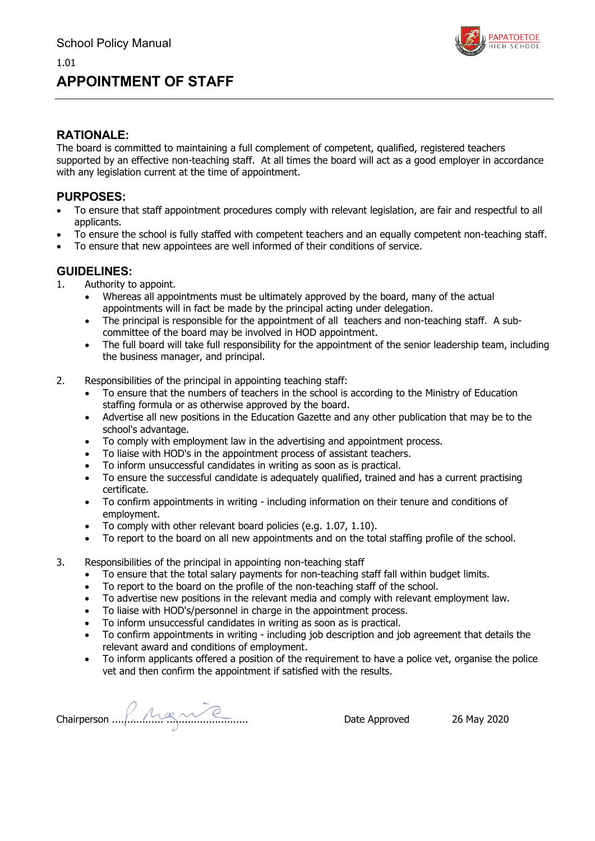# **APPOINTMENT OF STAFF**



### **RATIONALE:**

The board is committed to maintaining a full complement of competent, qualified, registered teachers supported by an effective non-teaching staff. At all times the board will act as a good employer in accordance with any legislation current at the time of appointment.

### **PURPOSES:**

- To ensure that staff appointment procedures comply with relevant legislation, are fair and respectful to all applicants.
- To ensure the school is fully staffed with competent teachers and an equally competent non-teaching staff.
- To ensure that new appointees are well informed of their conditions of service.

- 1. Authority to appoint.
	- Whereas all appointments must be ultimately approved by the board, many of the actual appointments will in fact be made by the principal acting under delegation.
	- The principal is responsible for the appointment of all teachers and non-teaching staff. A subcommittee of the board may be involved in HOD appointment.
	- The full board will take full responsibility for the appointment of the senior leadership team, including the business manager, and principal.
- 2. Responsibilities of the principal in appointing teaching staff:
	- To ensure that the numbers of teachers in the school is according to the Ministry of Education staffing formula or as otherwise approved by the board.
	- Advertise all new positions in the Education Gazette and any other publication that may be to the school's advantage.
	- To comply with employment law in the advertising and appointment process.
	- To liaise with HOD's in the appointment process of assistant teachers.
	- To inform unsuccessful candidates in writing as soon as is practical.
	- To ensure the successful candidate is adequately qualified, trained and has a current practising certificate.
	- To confirm appointments in writing including information on their tenure and conditions of employment.
	- To comply with other relevant board policies (e.g. 1.07, 1.10).
	- To report to the board on all new appointments and on the total staffing profile of the school.
- 3. Responsibilities of the principal in appointing non-teaching staff
	- To ensure that the total salary payments for non-teaching staff fall within budget limits.
	- To report to the board on the profile of the non-teaching staff of the school.
	- To advertise new positions in the relevant media and comply with relevant employment law.
	- To liaise with HOD's/personnel in charge in the appointment process.
	- To inform unsuccessful candidates in writing as soon as is practical.
	- To confirm appointments in writing including job description and job agreement that details the relevant award and conditions of employment.
	- To inform applicants offered a position of the requirement to have a police vet, organise the police vet and then confirm the appointment if satisfied with the results.

Chairperson ................. ........................... Date Approved 26 May 2020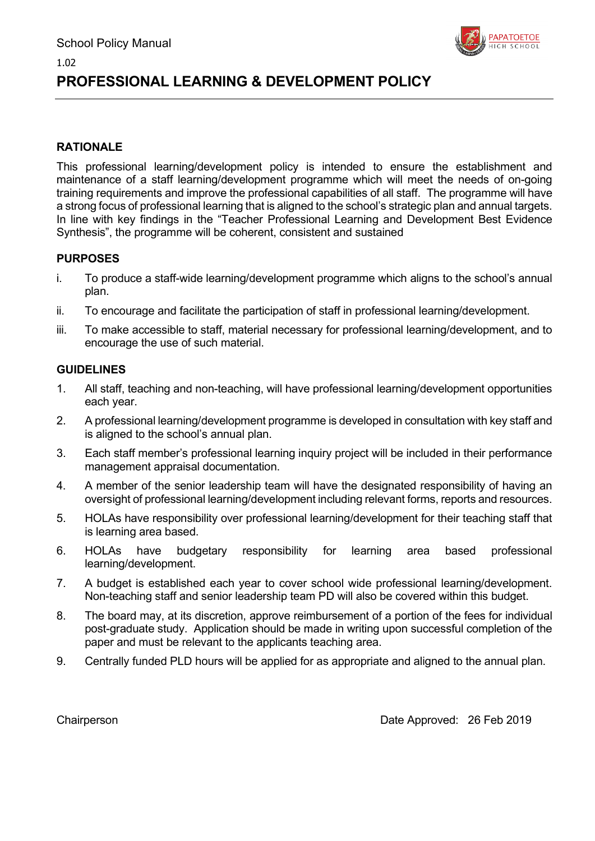

# **PROFESSIONAL LEARNING & DEVELOPMENT POLICY**

## **RATIONALE**

1.02

This professional learning/development policy is intended to ensure the establishment and maintenance of a staff learning/development programme which will meet the needs of on-going training requirements and improve the professional capabilities of all staff. The programme will have a strong focus of professional learning that is aligned to the school's strategic plan and annual targets. In line with key findings in the "Teacher Professional Learning and Development Best Evidence Synthesis", the programme will be coherent, consistent and sustained

### **PURPOSES**

- i. To produce a staff-wide learning/development programme which aligns to the school's annual plan.
- ii. To encourage and facilitate the participation of staff in professional learning/development.
- iii. To make accessible to staff, material necessary for professional learning/development, and to encourage the use of such material.

### **GUIDELINES**

- 1. All staff, teaching and non-teaching, will have professional learning/development opportunities each year.
- 2. A professional learning/development programme is developed in consultation with key staff and is aligned to the school's annual plan.
- 3. Each staff member's professional learning inquiry project will be included in their performance management appraisal documentation.
- 4. A member of the senior leadership team will have the designated responsibility of having an oversight of professional learning/development including relevant forms, reports and resources.
- 5. HOLAs have responsibility over professional learning/development for their teaching staff that is learning area based.
- 6. HOLAs have budgetary responsibility for learning area based professional learning/development.
- 7. A budget is established each year to cover school wide professional learning/development. Non-teaching staff and senior leadership team PD will also be covered within this budget.
- 8. The board may, at its discretion, approve reimbursement of a portion of the fees for individual post-graduate study. Application should be made in writing upon successful completion of the paper and must be relevant to the applicants teaching area.
- 9. Centrally funded PLD hours will be applied for as appropriate and aligned to the annual plan.

Chairperson Date Approved: 26 Feb 2019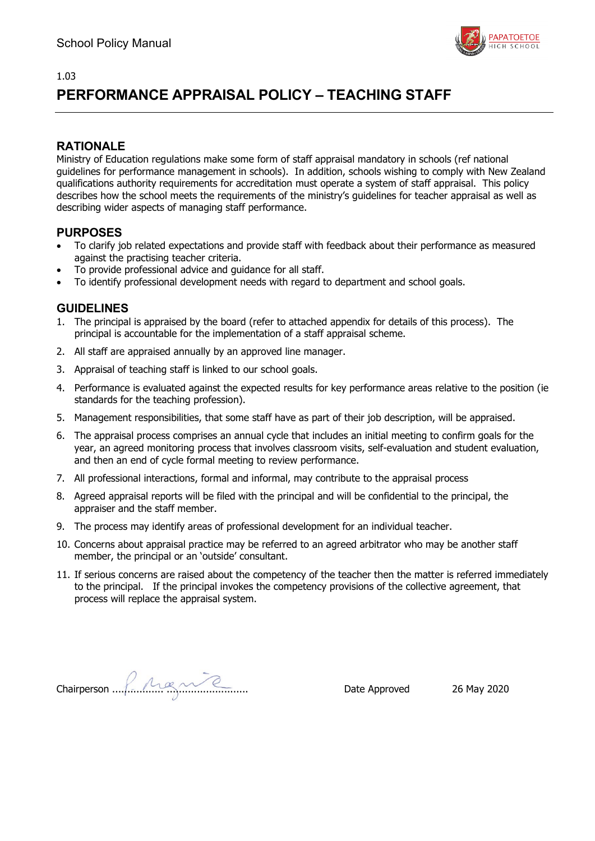

# **PERFORMANCE APPRAISAL POLICY – TEACHING STAFF**

## **RATIONALE**

Ministry of Education regulations make some form of staff appraisal mandatory in schools (ref national guidelines for performance management in schools). In addition, schools wishing to comply with New Zealand qualifications authority requirements for accreditation must operate a system of staff appraisal. This policy describes how the school meets the requirements of the ministry's guidelines for teacher appraisal as well as describing wider aspects of managing staff performance.

### **PURPOSES**

- To clarify job related expectations and provide staff with feedback about their performance as measured against the practising teacher criteria.
- To provide professional advice and guidance for all staff.
- To identify professional development needs with regard to department and school goals.

- 1. The principal is appraised by the board (refer to attached appendix for details of this process). The principal is accountable for the implementation of a staff appraisal scheme.
- 2. All staff are appraised annually by an approved line manager.
- 3. Appraisal of teaching staff is linked to our school goals.
- 4. Performance is evaluated against the expected results for key performance areas relative to the position (ie standards for the teaching profession).
- 5. Management responsibilities, that some staff have as part of their job description, will be appraised.
- 6. The appraisal process comprises an annual cycle that includes an initial meeting to confirm goals for the year, an agreed monitoring process that involves classroom visits, self-evaluation and student evaluation, and then an end of cycle formal meeting to review performance.
- 7. All professional interactions, formal and informal, may contribute to the appraisal process
- 8. Agreed appraisal reports will be filed with the principal and will be confidential to the principal, the appraiser and the staff member.
- 9. The process may identify areas of professional development for an individual teacher.
- 10. Concerns about appraisal practice may be referred to an agreed arbitrator who may be another staff member, the principal or an 'outside' consultant.
- 11. If serious concerns are raised about the competency of the teacher then the matter is referred immediately to the principal. If the principal invokes the competency provisions of the collective agreement, that process will replace the appraisal system.

Chairperson ................. ........................... Date Approved 26 May 2020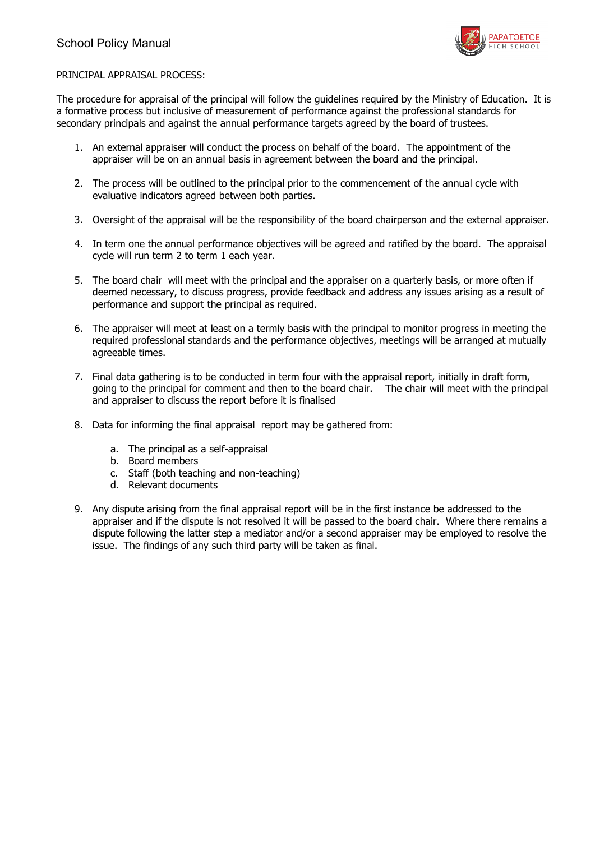

### PRINCIPAL APPRAISAL PROCESS:

The procedure for appraisal of the principal will follow the guidelines required by the Ministry of Education. It is a formative process but inclusive of measurement of performance against the professional standards for secondary principals and against the annual performance targets agreed by the board of trustees.

- 1. An external appraiser will conduct the process on behalf of the board. The appointment of the appraiser will be on an annual basis in agreement between the board and the principal.
- 2. The process will be outlined to the principal prior to the commencement of the annual cycle with evaluative indicators agreed between both parties.
- 3. Oversight of the appraisal will be the responsibility of the board chairperson and the external appraiser.
- 4. In term one the annual performance objectives will be agreed and ratified by the board. The appraisal cycle will run term 2 to term 1 each year.
- 5. The board chair will meet with the principal and the appraiser on a quarterly basis, or more often if deemed necessary, to discuss progress, provide feedback and address any issues arising as a result of performance and support the principal as required.
- 6. The appraiser will meet at least on a termly basis with the principal to monitor progress in meeting the required professional standards and the performance objectives, meetings will be arranged at mutually agreeable times.
- 7. Final data gathering is to be conducted in term four with the appraisal report, initially in draft form, going to the principal for comment and then to the board chair. The chair will meet with the principal and appraiser to discuss the report before it is finalised
- 8. Data for informing the final appraisal report may be gathered from:
	- a. The principal as a self-appraisal
	- b. Board members
	- c. Staff (both teaching and non-teaching)
	- d. Relevant documents
- 9. Any dispute arising from the final appraisal report will be in the first instance be addressed to the appraiser and if the dispute is not resolved it will be passed to the board chair. Where there remains a dispute following the latter step a mediator and/or a second appraiser may be employed to resolve the issue. The findings of any such third party will be taken as final.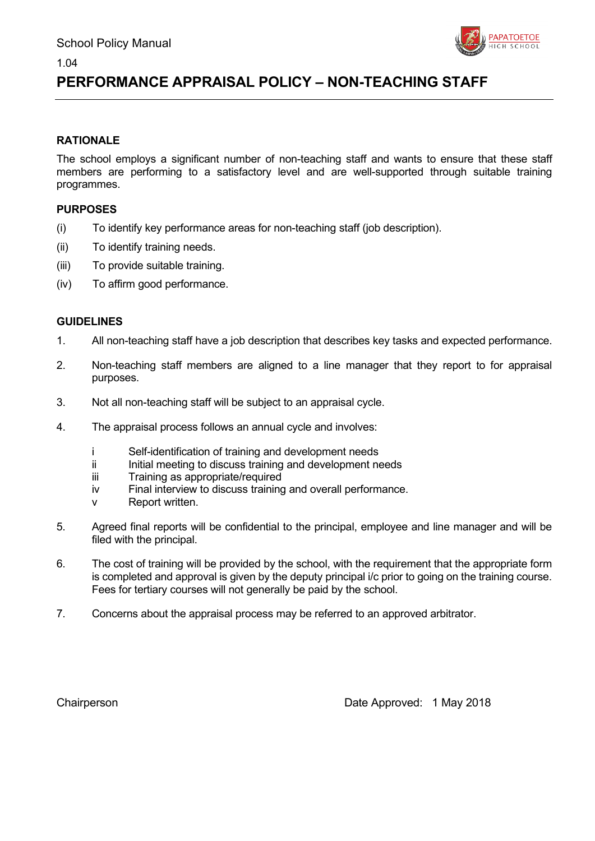

# **PERFORMANCE APPRAISAL POLICY – NON-TEACHING STAFF**

### **RATIONALE**

1.04

The school employs a significant number of non-teaching staff and wants to ensure that these staff members are performing to a satisfactory level and are well-supported through suitable training programmes.

### **PURPOSES**

- (i) To identify key performance areas for non-teaching staff (job description).
- (ii) To identify training needs.
- (iii) To provide suitable training.
- (iv) To affirm good performance.

### **GUIDELINES**

- 1. All non-teaching staff have a job description that describes key tasks and expected performance.
- 2. Non-teaching staff members are aligned to a line manager that they report to for appraisal purposes.
- 3. Not all non-teaching staff will be subject to an appraisal cycle.
- 4. The appraisal process follows an annual cycle and involves:
	- i Self-identification of training and development needs
	- ii Initial meeting to discuss training and development needs
	- iii Training as appropriate/required
	- iv Final interview to discuss training and overall performance.
	- v Report written.
- 5. Agreed final reports will be confidential to the principal, employee and line manager and will be filed with the principal.
- 6. The cost of training will be provided by the school, with the requirement that the appropriate form is completed and approval is given by the deputy principal i/c prior to going on the training course. Fees for tertiary courses will not generally be paid by the school.
- 7. Concerns about the appraisal process may be referred to an approved arbitrator.

Chairperson **Chairperson** Chairperson **Date Approved: 1 May 2018**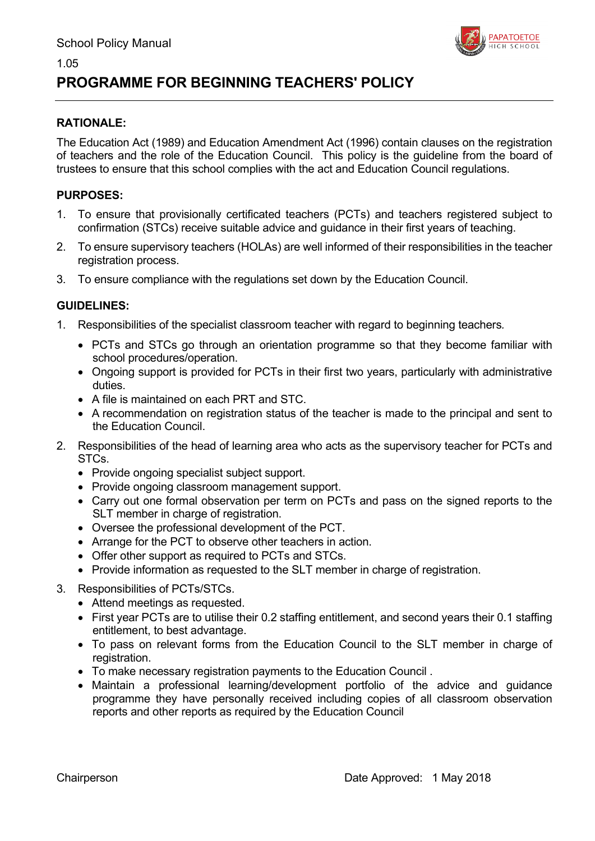

# **PROGRAMME FOR BEGINNING TEACHERS' POLICY**

## **RATIONALE:**

1.05

The Education Act (1989) and Education Amendment Act (1996) contain clauses on the registration of teachers and the role of the Education Council. This policy is the guideline from the board of trustees to ensure that this school complies with the act and Education Council regulations.

## **PURPOSES:**

- 1. To ensure that provisionally certificated teachers (PCTs) and teachers registered subject to confirmation (STCs) receive suitable advice and guidance in their first years of teaching.
- 2. To ensure supervisory teachers (HOLAs) are well informed of their responsibilities in the teacher registration process.
- 3. To ensure compliance with the regulations set down by the Education Council.

- 1. Responsibilities of the specialist classroom teacher with regard to beginning teachers*.*
	- PCTs and STCs go through an orientation programme so that they become familiar with school procedures/operation.
	- Ongoing support is provided for PCTs in their first two years, particularly with administrative duties.
	- A file is maintained on each PRT and STC.
	- A recommendation on registration status of the teacher is made to the principal and sent to the Education Council.
- 2. Responsibilities of the head of learning area who acts as the supervisory teacher for PCTs and STCs.
	- Provide ongoing specialist subject support.
	- Provide ongoing classroom management support.
	- Carry out one formal observation per term on PCTs and pass on the signed reports to the SLT member in charge of registration.
	- Oversee the professional development of the PCT.
	- Arrange for the PCT to observe other teachers in action.
	- Offer other support as required to PCTs and STCs.
	- Provide information as requested to the SLT member in charge of registration.
- 3. Responsibilities of PCTs/STCs.
	- Attend meetings as requested.
	- First year PCTs are to utilise their 0.2 staffing entitlement, and second years their 0.1 staffing entitlement, to best advantage.
	- To pass on relevant forms from the Education Council to the SLT member in charge of registration.
	- To make necessary registration payments to the Education Council .
	- Maintain a professional learning/development portfolio of the advice and guidance programme they have personally received including copies of all classroom observation reports and other reports as required by the Education Council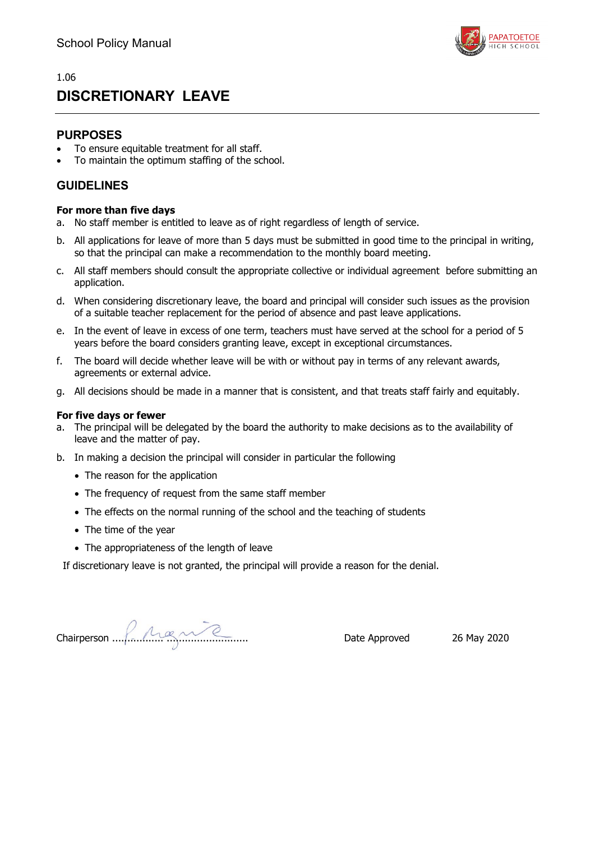

## 1.06 **DISCRETIONARY LEAVE**

### **PURPOSES**

- To ensure equitable treatment for all staff.
- To maintain the optimum staffing of the school.

### **GUIDELINES**

### **For more than five days**

- a. No staff member is entitled to leave as of right regardless of length of service.
- b. All applications for leave of more than 5 days must be submitted in good time to the principal in writing, so that the principal can make a recommendation to the monthly board meeting.
- c. All staff members should consult the appropriate collective or individual agreement before submitting an application.
- d. When considering discretionary leave, the board and principal will consider such issues as the provision of a suitable teacher replacement for the period of absence and past leave applications.
- e. In the event of leave in excess of one term, teachers must have served at the school for a period of 5 years before the board considers granting leave, except in exceptional circumstances.
- f. The board will decide whether leave will be with or without pay in terms of any relevant awards, agreements or external advice.
- g. All decisions should be made in a manner that is consistent, and that treats staff fairly and equitably.

### **For five days or fewer**

- a. The principal will be delegated by the board the authority to make decisions as to the availability of leave and the matter of pay.
- b. In making a decision the principal will consider in particular the following
	- The reason for the application
	- The frequency of request from the same staff member
	- The effects on the normal running of the school and the teaching of students
	- The time of the year
	- The appropriateness of the length of leave

If discretionary leave is not granted, the principal will provide a reason for the denial.

Chairperson ................. ........................... Date Approved 26 May 2020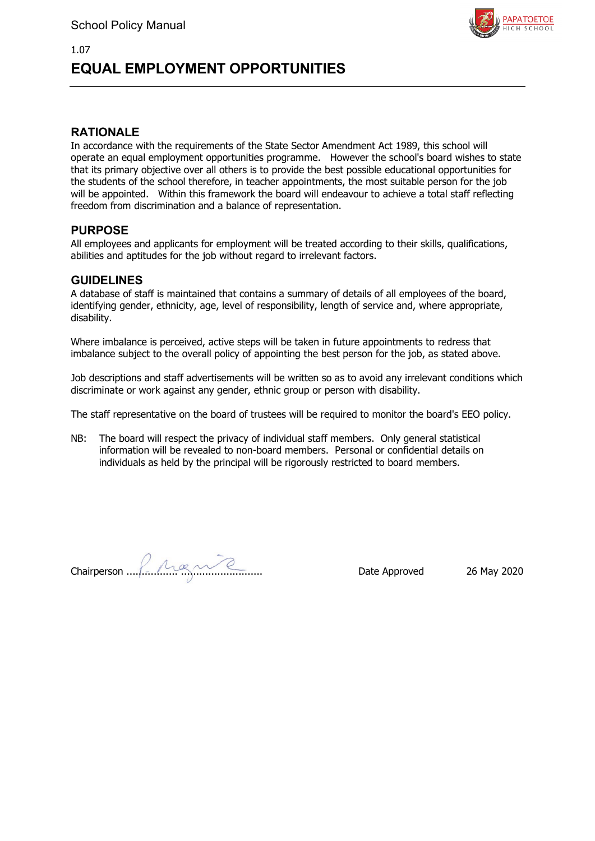

# **EQUAL EMPLOYMENT OPPORTUNITIES**

### **RATIONALE**

1.07

In accordance with the requirements of the State Sector Amendment Act 1989, this school will operate an equal employment opportunities programme. However the school's board wishes to state that its primary objective over all others is to provide the best possible educational opportunities for the students of the school therefore, in teacher appointments, the most suitable person for the job will be appointed. Within this framework the board will endeavour to achieve a total staff reflecting freedom from discrimination and a balance of representation.

### **PURPOSE**

All employees and applicants for employment will be treated according to their skills, qualifications, abilities and aptitudes for the job without regard to irrelevant factors.

### **GUIDELINES**

A database of staff is maintained that contains a summary of details of all employees of the board, identifying gender, ethnicity, age, level of responsibility, length of service and, where appropriate, disability.

Where imbalance is perceived, active steps will be taken in future appointments to redress that imbalance subject to the overall policy of appointing the best person for the job, as stated above.

Job descriptions and staff advertisements will be written so as to avoid any irrelevant conditions which discriminate or work against any gender, ethnic group or person with disability.

The staff representative on the board of trustees will be required to monitor the board's EEO policy.

NB: The board will respect the privacy of individual staff members. Only general statistical information will be revealed to non-board members. Personal or confidential details on individuals as held by the principal will be rigorously restricted to board members.

Chairperson ................. ........................... Date Approved 26 May 2020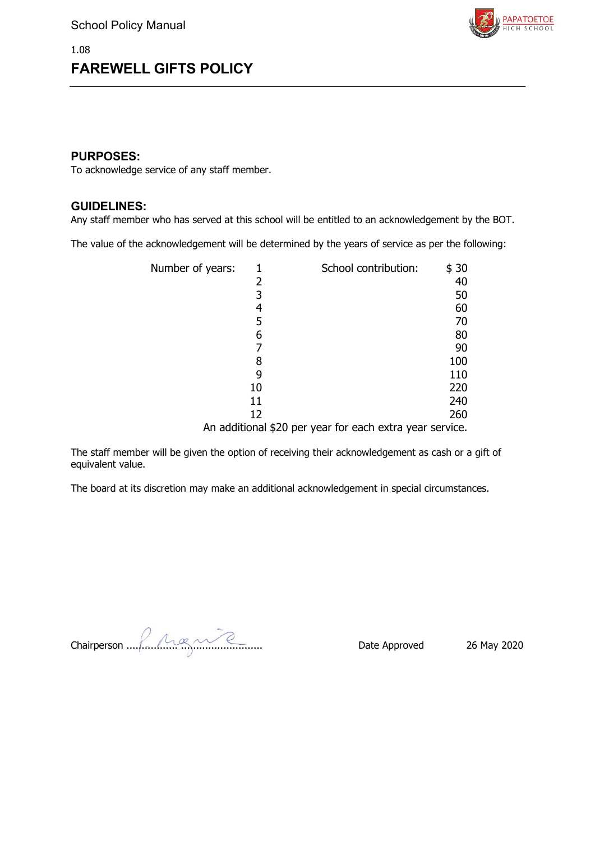

### **PURPOSES:**

To acknowledge service of any staff member.

### **GUIDELINES:**

Any staff member who has served at this school will be entitled to an acknowledgement by the BOT.

The value of the acknowledgement will be determined by the years of service as per the following:

| Number of years: |    | School contribution:                                     | \$30 |
|------------------|----|----------------------------------------------------------|------|
|                  | 2  |                                                          | 40   |
|                  | 3  |                                                          | 50   |
|                  | 4  |                                                          | 60   |
|                  | 5  |                                                          | 70   |
|                  | 6  |                                                          | 80   |
|                  |    |                                                          | 90   |
|                  |    |                                                          | 100  |
|                  |    |                                                          | 110  |
|                  | 10 |                                                          | 220  |
|                  | 11 |                                                          | 240  |
|                  | 12 |                                                          | 260  |
|                  |    | An additional \$20 per year for each extra year service. |      |

The staff member will be given the option of receiving their acknowledgement as cash or a gift of equivalent value.

The board at its discretion may make an additional acknowledgement in special circumstances.

Chairperson ................. ........................... Date Approved 26 May 2020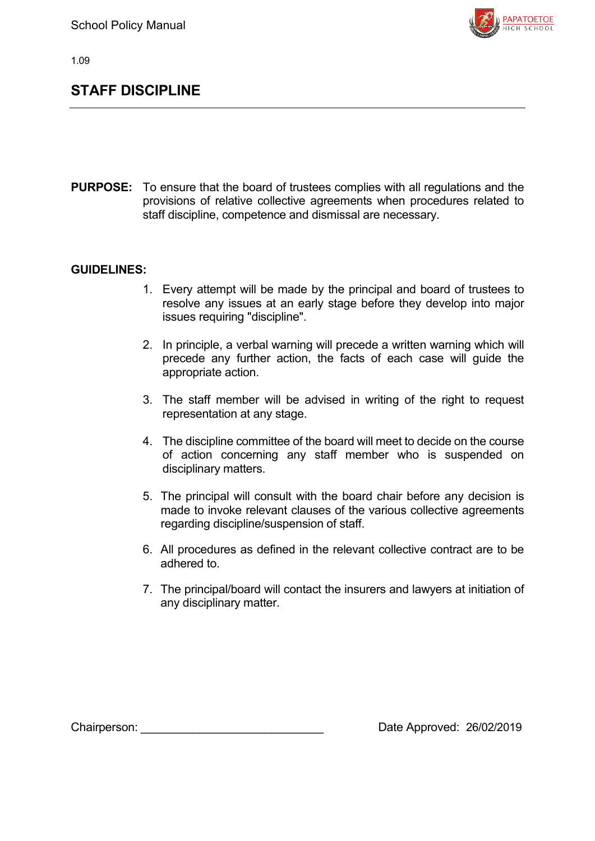

# **STAFF DISCIPLINE**

**PURPOSE:** To ensure that the board of trustees complies with all regulations and the provisions of relative collective agreements when procedures related to staff discipline, competence and dismissal are necessary.

### **GUIDELINES:**

- 1. Every attempt will be made by the principal and board of trustees to resolve any issues at an early stage before they develop into major issues requiring "discipline".
- 2. In principle, a verbal warning will precede a written warning which will precede any further action, the facts of each case will guide the appropriate action.
- 3. The staff member will be advised in writing of the right to request representation at any stage.
- 4. The discipline committee of the board will meet to decide on the course of action concerning any staff member who is suspended on disciplinary matters.
- 5. The principal will consult with the board chair before any decision is made to invoke relevant clauses of the various collective agreements regarding discipline/suspension of staff.
- 6. All procedures as defined in the relevant collective contract are to be adhered to.
- 7. The principal/board will contact the insurers and lawyers at initiation of any disciplinary matter.

Chairperson: <br>
Chairperson: 26/02/2019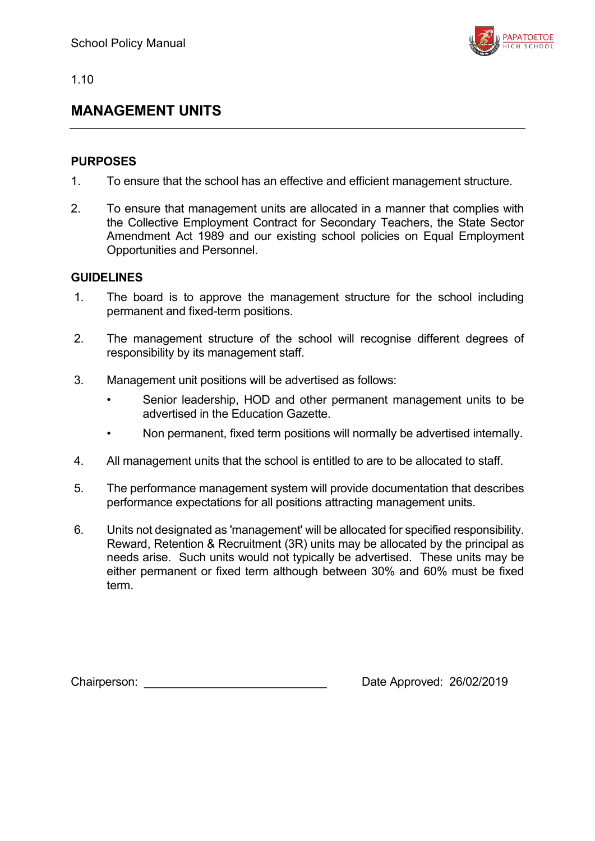

# **MANAGEMENT UNITS**

## **PURPOSES**

- 1. To ensure that the school has an effective and efficient management structure.
- 2. To ensure that management units are allocated in a manner that complies with the Collective Employment Contract for Secondary Teachers, the State Sector Amendment Act 1989 and our existing school policies on Equal Employment Opportunities and Personnel.

## **GUIDELINES**

- 1. The board is to approve the management structure for the school including permanent and fixed-term positions.
- 2. The management structure of the school will recognise different degrees of responsibility by its management staff.
- 3. Management unit positions will be advertised as follows:
	- Senior leadership, HOD and other permanent management units to be advertised in the Education Gazette.
	- Non permanent, fixed term positions will normally be advertised internally.
- 4. All management units that the school is entitled to are to be allocated to staff.
- 5. The performance management system will provide documentation that describes performance expectations for all positions attracting management units.
- 6. Units not designated as 'management' will be allocated for specified responsibility. Reward, Retention & Recruitment (3R) units may be allocated by the principal as needs arise. Such units would not typically be advertised. These units may be either permanent or fixed term although between 30% and 60% must be fixed term.

Chairperson: Chairperson: 26/02/2019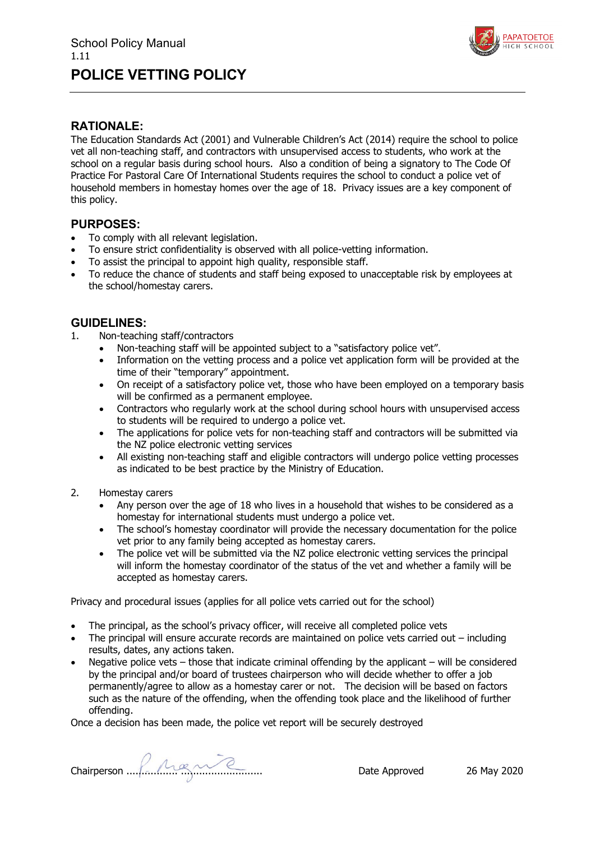

### **RATIONALE:**

The Education Standards Act (2001) and Vulnerable Children's Act (2014) require the school to police vet all non-teaching staff, and contractors with unsupervised access to students, who work at the school on a regular basis during school hours. Also a condition of being a signatory to The Code Of Practice For Pastoral Care Of International Students requires the school to conduct a police vet of household members in homestay homes over the age of 18. Privacy issues are a key component of this policy.

### **PURPOSES:**

- To comply with all relevant legislation.
- To ensure strict confidentiality is observed with all police-vetting information.
- To assist the principal to appoint high quality, responsible staff.
- To reduce the chance of students and staff being exposed to unacceptable risk by employees at the school/homestay carers.

### **GUIDELINES:**

- 1. Non-teaching staff/contractors
	- Non-teaching staff will be appointed subject to a "satisfactory police vet".
	- Information on the vetting process and a police vet application form will be provided at the time of their "temporary" appointment.
	- On receipt of a satisfactory police vet, those who have been employed on a temporary basis will be confirmed as a permanent employee.
	- Contractors who regularly work at the school during school hours with unsupervised access to students will be required to undergo a police vet.
	- The applications for police vets for non-teaching staff and contractors will be submitted via the NZ police electronic vetting services
	- All existing non-teaching staff and eligible contractors will undergo police vetting processes as indicated to be best practice by the Ministry of Education.
- 2. Homestay carers
	- Any person over the age of 18 who lives in a household that wishes to be considered as a homestay for international students must undergo a police vet.
	- The school's homestay coordinator will provide the necessary documentation for the police vet prior to any family being accepted as homestay carers.
	- The police vet will be submitted via the NZ police electronic vetting services the principal will inform the homestay coordinator of the status of the vet and whether a family will be accepted as homestay carers.

Privacy and procedural issues (applies for all police vets carried out for the school)

- The principal, as the school's privacy officer, will receive all completed police vets
- The principal will ensure accurate records are maintained on police vets carried out including results, dates, any actions taken.
- Negative police vets  $-$  those that indicate criminal offending by the applicant  $-$  will be considered by the principal and/or board of trustees chairperson who will decide whether to offer a job permanently/agree to allow as a homestay carer or not. The decision will be based on factors such as the nature of the offending, when the offending took place and the likelihood of further offending.

Once a decision has been made, the police vet report will be securely destroyed

Chairperson ................. ........................... Date Approved 26 May 2020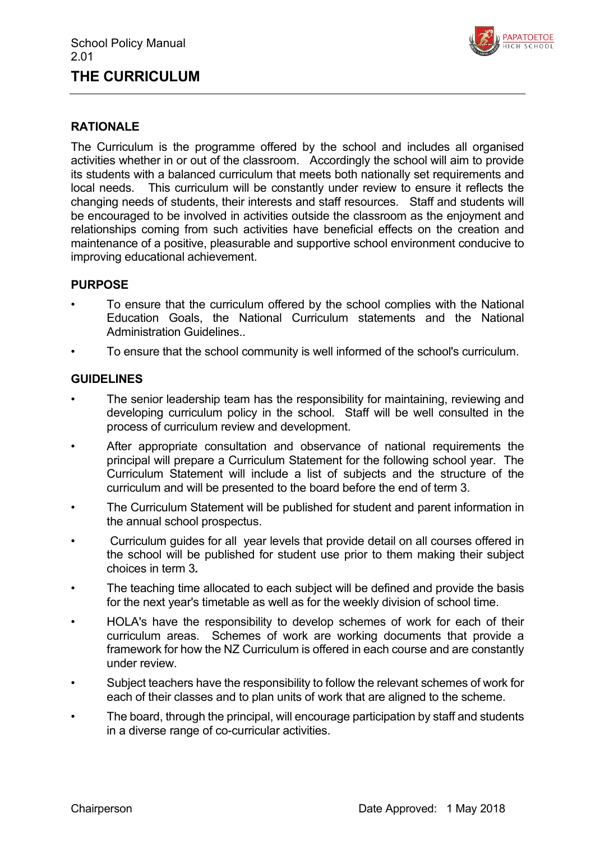# **THE CURRICULUM**



## **RATIONALE**

The Curriculum is the programme offered by the school and includes all organised activities whether in or out of the classroom. Accordingly the school will aim to provide its students with a balanced curriculum that meets both nationally set requirements and local needs. This curriculum will be constantly under review to ensure it reflects the changing needs of students, their interests and staff resources. Staff and students will be encouraged to be involved in activities outside the classroom as the enjoyment and relationships coming from such activities have beneficial effects on the creation and maintenance of a positive, pleasurable and supportive school environment conducive to improving educational achievement.

### **PURPOSE**

- To ensure that the curriculum offered by the school complies with the National Education Goals, the National Curriculum statements and the National Administration Guidelines..
- To ensure that the school community is well informed of the school's curriculum.

- The senior leadership team has the responsibility for maintaining, reviewing and developing curriculum policy in the school. Staff will be well consulted in the process of curriculum review and development.
- After appropriate consultation and observance of national requirements the principal will prepare a Curriculum Statement for the following school year. The Curriculum Statement will include a list of subjects and the structure of the curriculum and will be presented to the board before the end of term 3.
- The Curriculum Statement will be published for student and parent information in the annual school prospectus.
- Curriculum guides for all year levels that provide detail on all courses offered in the school will be published for student use prior to them making their subject choices in term 3*.*
- The teaching time allocated to each subject will be defined and provide the basis for the next year's timetable as well as for the weekly division of school time.
- HOLA's have the responsibility to develop schemes of work for each of their curriculum areas. Schemes of work are working documents that provide a framework for how the NZ Curriculum is offered in each course and are constantly under review.
- Subject teachers have the responsibility to follow the relevant schemes of work for each of their classes and to plan units of work that are aligned to the scheme.
- The board, through the principal, will encourage participation by staff and students in a diverse range of co-curricular activities.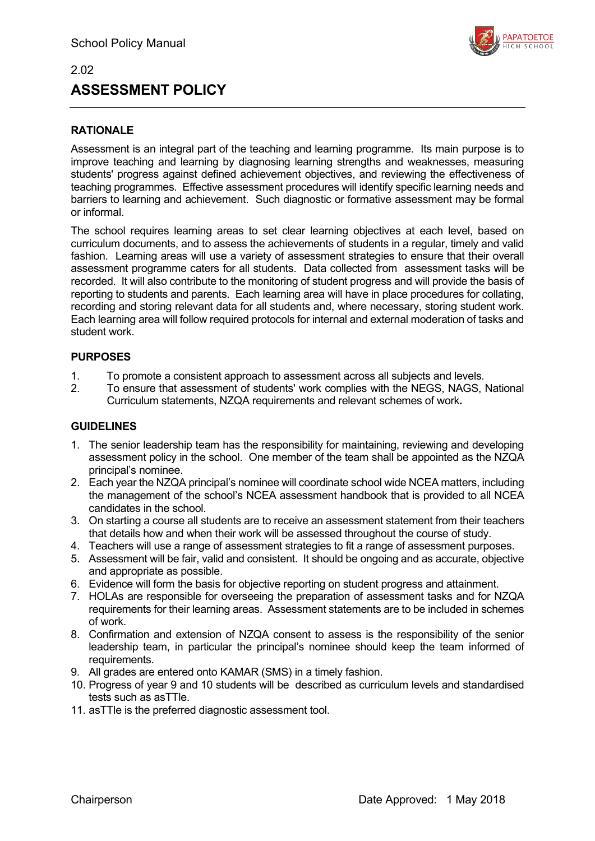

# **ASSESSMENT POLICY**

## **RATIONALE**

2.02

Assessment is an integral part of the teaching and learning programme. Its main purpose is to improve teaching and learning by diagnosing learning strengths and weaknesses, measuring students' progress against defined achievement objectives, and reviewing the effectiveness of teaching programmes. Effective assessment procedures will identify specific learning needs and barriers to learning and achievement. Such diagnostic or formative assessment may be formal or informal.

The school requires learning areas to set clear learning objectives at each level, based on curriculum documents, and to assess the achievements of students in a regular, timely and valid fashion. Learning areas will use a variety of assessment strategies to ensure that their overall assessment programme caters for all students. Data collected from assessment tasks will be recorded. It will also contribute to the monitoring of student progress and will provide the basis of reporting to students and parents. Each learning area will have in place procedures for collating, recording and storing relevant data for all students and, where necessary, storing student work. Each learning area will follow required protocols for internal and external moderation of tasks and student work.

### **PURPOSES**

- 1. To promote a consistent approach to assessment across all subjects and levels.
- 2. To ensure that assessment of students' work complies with the NEGS, NAGS, National Curriculum statements, NZQA requirements and relevant schemes of work*.*

- 1. The senior leadership team has the responsibility for maintaining, reviewing and developing assessment policy in the school. One member of the team shall be appointed as the NZQA principal's nominee.
- 2. Each year the NZQA principal's nominee will coordinate school wide NCEA matters, including the management of the school's NCEA assessment handbook that is provided to all NCEA candidates in the school.
- 3. On starting a course all students are to receive an assessment statement from their teachers that details how and when their work will be assessed throughout the course of study.
- 4. Teachers will use a range of assessment strategies to fit a range of assessment purposes.
- 5. Assessment will be fair, valid and consistent. It should be ongoing and as accurate, objective and appropriate as possible.
- 6. Evidence will form the basis for objective reporting on student progress and attainment.
- 7. HOLAs are responsible for overseeing the preparation of assessment tasks and for NZQA requirements for their learning areas. Assessment statements are to be included in schemes of work.
- 8. Confirmation and extension of NZQA consent to assess is the responsibility of the senior leadership team, in particular the principal's nominee should keep the team informed of requirements.
- 9. All grades are entered onto KAMAR (SMS) in a timely fashion.
- 10. Progress of year 9 and 10 students will be described as curriculum levels and standardised tests such as asTTle.
- 11. asTTle is the preferred diagnostic assessment tool.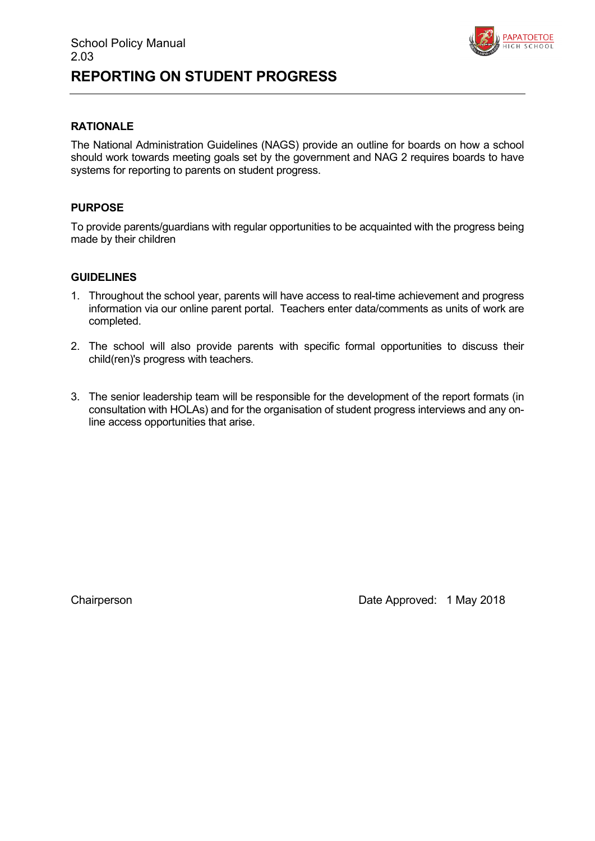

# **REPORTING ON STUDENT PROGRESS**

### **RATIONALE**

The National Administration Guidelines (NAGS) provide an outline for boards on how a school should work towards meeting goals set by the government and NAG 2 requires boards to have systems for reporting to parents on student progress.

### **PURPOSE**

To provide parents/guardians with regular opportunities to be acquainted with the progress being made by their children

### **GUIDELINES**

- 1. Throughout the school year, parents will have access to real-time achievement and progress information via our online parent portal. Teachers enter data/comments as units of work are completed.
- 2. The school will also provide parents with specific formal opportunities to discuss their child(ren)'s progress with teachers.
- 3. The senior leadership team will be responsible for the development of the report formats (in consultation with HOLAs) and for the organisation of student progress interviews and any online access opportunities that arise.

Chairperson **Chairperson Date Approved: 1 May 2018**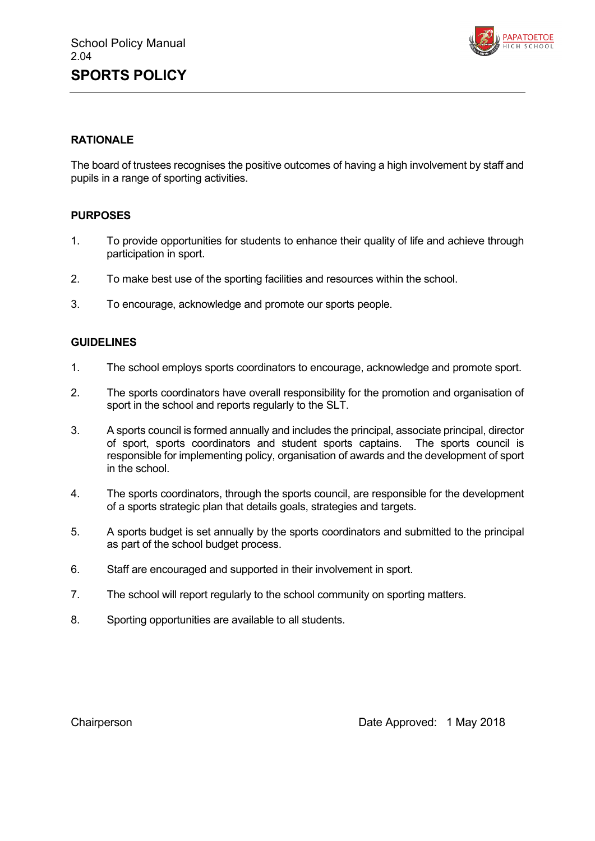

### **RATIONALE**

The board of trustees recognises the positive outcomes of having a high involvement by staff and pupils in a range of sporting activities.

### **PURPOSES**

- 1. To provide opportunities for students to enhance their quality of life and achieve through participation in sport.
- 2. To make best use of the sporting facilities and resources within the school.
- 3. To encourage, acknowledge and promote our sports people.

### **GUIDELINES**

- 1. The school employs sports coordinators to encourage, acknowledge and promote sport.
- 2. The sports coordinators have overall responsibility for the promotion and organisation of sport in the school and reports regularly to the SLT.
- 3. A sports council is formed annually and includes the principal, associate principal, director of sport, sports coordinators and student sports captains. The sports council is responsible for implementing policy, organisation of awards and the development of sport in the school.
- 4. The sports coordinators, through the sports council, are responsible for the development of a sports strategic plan that details goals, strategies and targets.
- 5. A sports budget is set annually by the sports coordinators and submitted to the principal as part of the school budget process.
- 6. Staff are encouraged and supported in their involvement in sport.
- 7. The school will report regularly to the school community on sporting matters.
- 8. Sporting opportunities are available to all students.

Chairperson **Chairperson Date Approved: 1 May 2018**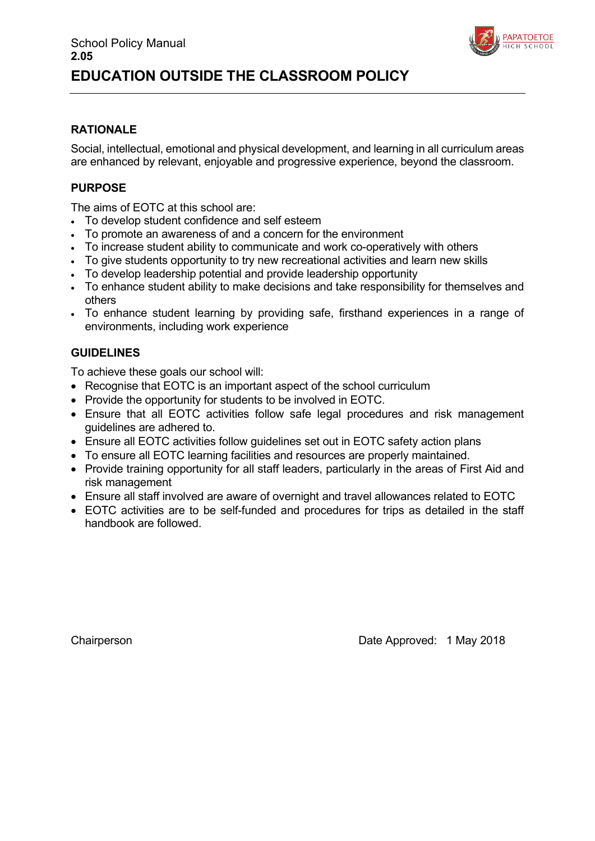

### **RATIONALE**

Social, intellectual, emotional and physical development, and learning in all curriculum areas are enhanced by relevant, enjoyable and progressive experience, beyond the classroom.

### **PURPOSE**

The aims of EOTC at this school are:

- To develop student confidence and self esteem
- To promote an awareness of and a concern for the environment
- To increase student ability to communicate and work co-operatively with others
- To give students opportunity to try new recreational activities and learn new skills
- To develop leadership potential and provide leadership opportunity
- To enhance student ability to make decisions and take responsibility for themselves and others
- To enhance student learning by providing safe, firsthand experiences in a range of environments, including work experience

### **GUIDELINES**

To achieve these goals our school will:

- Recognise that EOTC is an important aspect of the school curriculum
- Provide the opportunity for students to be involved in EOTC.
- Ensure that all EOTC activities follow safe legal procedures and risk management guidelines are adhered to.
- Ensure all EOTC activities follow guidelines set out in EOTC safety action plans
- To ensure all EOTC learning facilities and resources are properly maintained.
- Provide training opportunity for all staff leaders, particularly in the areas of First Aid and risk management
- Ensure all staff involved are aware of overnight and travel allowances related to EOTC
- EOTC activities are to be self-funded and procedures for trips as detailed in the staff handbook are followed.

Chairperson **Date Approved: 1 May 2018**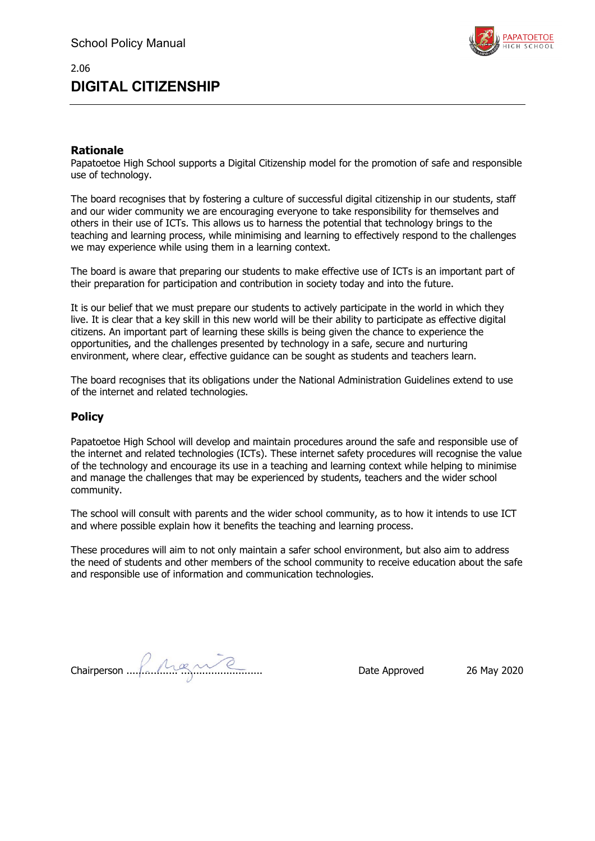

# **DIGITAL CITIZENSHIP**

### **Rationale**

2.06

Papatoetoe High School supports a Digital Citizenship model for the promotion of safe and responsible use of technology.

The board recognises that by fostering a culture of successful digital citizenship in our students, staff and our wider community we are encouraging everyone to take responsibility for themselves and others in their use of ICTs. This allows us to harness the potential that technology brings to the teaching and learning process, while minimising and learning to effectively respond to the challenges we may experience while using them in a learning context.

The board is aware that preparing our students to make effective use of ICTs is an important part of their preparation for participation and contribution in society today and into the future.

It is our belief that we must prepare our students to actively participate in the world in which they live. It is clear that a key skill in this new world will be their ability to participate as effective digital citizens. An important part of learning these skills is being given the chance to experience the opportunities, and the challenges presented by technology in a safe, secure and nurturing environment, where clear, effective guidance can be sought as students and teachers learn.

The board recognises that its obligations under the National Administration Guidelines extend to use of the internet and related technologies.

### **Policy**

Papatoetoe High School will develop and maintain procedures around the safe and responsible use of the internet and related technologies (ICTs). These internet safety procedures will recognise the value of the technology and encourage its use in a teaching and learning context while helping to minimise and manage the challenges that may be experienced by students, teachers and the wider school community.

The school will consult with parents and the wider school community, as to how it intends to use ICT and where possible explain how it benefits the teaching and learning process.

These procedures will aim to not only maintain a safer school environment, but also aim to address the need of students and other members of the school community to receive education about the safe and responsible use of information and communication technologies.

Chairperson ................. ........................... Date Approved 26 May 2020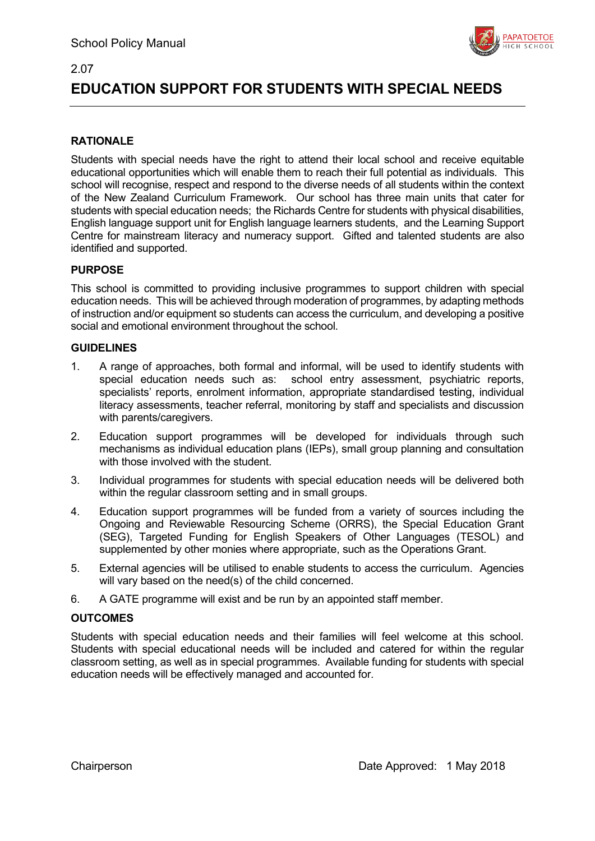



# **EDUCATION SUPPORT FOR STUDENTS WITH SPECIAL NEEDS**

### **RATIONALE**

Students with special needs have the right to attend their local school and receive equitable educational opportunities which will enable them to reach their full potential as individuals. This school will recognise, respect and respond to the diverse needs of all students within the context of the New Zealand Curriculum Framework. Our school has three main units that cater for students with special education needs; the Richards Centre for students with physical disabilities, English language support unit for English language learners students, and the Learning Support Centre for mainstream literacy and numeracy support. Gifted and talented students are also identified and supported.

### **PURPOSE**

This school is committed to providing inclusive programmes to support children with special education needs. This will be achieved through moderation of programmes, by adapting methods of instruction and/or equipment so students can access the curriculum, and developing a positive social and emotional environment throughout the school.

### **GUIDELINES**

- 1. A range of approaches, both formal and informal, will be used to identify students with special education needs such as: school entry assessment, psychiatric reports, specialists' reports, enrolment information, appropriate standardised testing, individual literacy assessments, teacher referral, monitoring by staff and specialists and discussion with parents/caregivers.
- 2. Education support programmes will be developed for individuals through such mechanisms as individual education plans (IEPs), small group planning and consultation with those involved with the student.
- 3. Individual programmes for students with special education needs will be delivered both within the regular classroom setting and in small groups.
- 4. Education support programmes will be funded from a variety of sources including the Ongoing and Reviewable Resourcing Scheme (ORRS), the Special Education Grant (SEG), Targeted Funding for English Speakers of Other Languages (TESOL) and supplemented by other monies where appropriate, such as the Operations Grant.
- 5. External agencies will be utilised to enable students to access the curriculum. Agencies will vary based on the need(s) of the child concerned.
- 6. A GATE programme will exist and be run by an appointed staff member.

### **OUTCOMES**

Students with special education needs and their families will feel welcome at this school. Students with special educational needs will be included and catered for within the regular classroom setting, as well as in special programmes. Available funding for students with special education needs will be effectively managed and accounted for.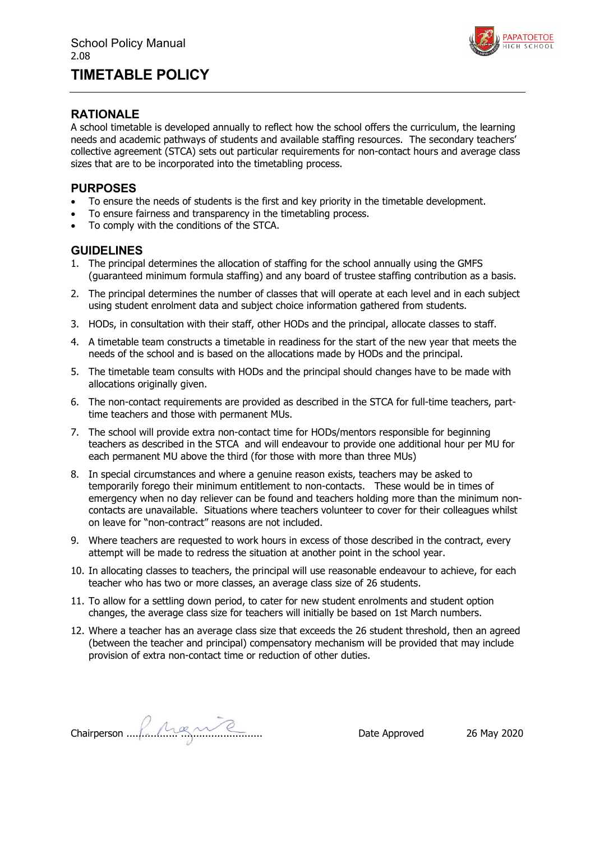# **TIMETABLE POLICY**



### **RATIONALE**

A school timetable is developed annually to reflect how the school offers the curriculum, the learning needs and academic pathways of students and available staffing resources. The secondary teachers' collective agreement (STCA) sets out particular requirements for non-contact hours and average class sizes that are to be incorporated into the timetabling process.

### **PURPOSES**

- To ensure the needs of students is the first and key priority in the timetable development.
- To ensure fairness and transparency in the timetabling process.
- To comply with the conditions of the STCA.

- 1. The principal determines the allocation of staffing for the school annually using the GMFS (guaranteed minimum formula staffing) and any board of trustee staffing contribution as a basis.
- 2. The principal determines the number of classes that will operate at each level and in each subject using student enrolment data and subject choice information gathered from students.
- 3. HODs, in consultation with their staff, other HODs and the principal, allocate classes to staff.
- 4. A timetable team constructs a timetable in readiness for the start of the new year that meets the needs of the school and is based on the allocations made by HODs and the principal.
- 5. The timetable team consults with HODs and the principal should changes have to be made with allocations originally given.
- 6. The non-contact requirements are provided as described in the STCA for full-time teachers, parttime teachers and those with permanent MUs.
- 7. The school will provide extra non-contact time for HODs/mentors responsible for beginning teachers as described in the STCA and will endeavour to provide one additional hour per MU for each permanent MU above the third (for those with more than three MUs)
- 8. In special circumstances and where a genuine reason exists, teachers may be asked to temporarily forego their minimum entitlement to non-contacts. These would be in times of emergency when no day reliever can be found and teachers holding more than the minimum noncontacts are unavailable. Situations where teachers volunteer to cover for their colleagues whilst on leave for "non-contract" reasons are not included.
- 9. Where teachers are requested to work hours in excess of those described in the contract, every attempt will be made to redress the situation at another point in the school year.
- 10. In allocating classes to teachers, the principal will use reasonable endeavour to achieve, for each teacher who has two or more classes, an average class size of 26 students.
- 11. To allow for a settling down period, to cater for new student enrolments and student option changes, the average class size for teachers will initially be based on 1st March numbers.
- 12. Where a teacher has an average class size that exceeds the 26 student threshold, then an agreed (between the teacher and principal) compensatory mechanism will be provided that may include provision of extra non-contact time or reduction of other duties.

Chairperson ................. ........................... Date Approved 26 May 2020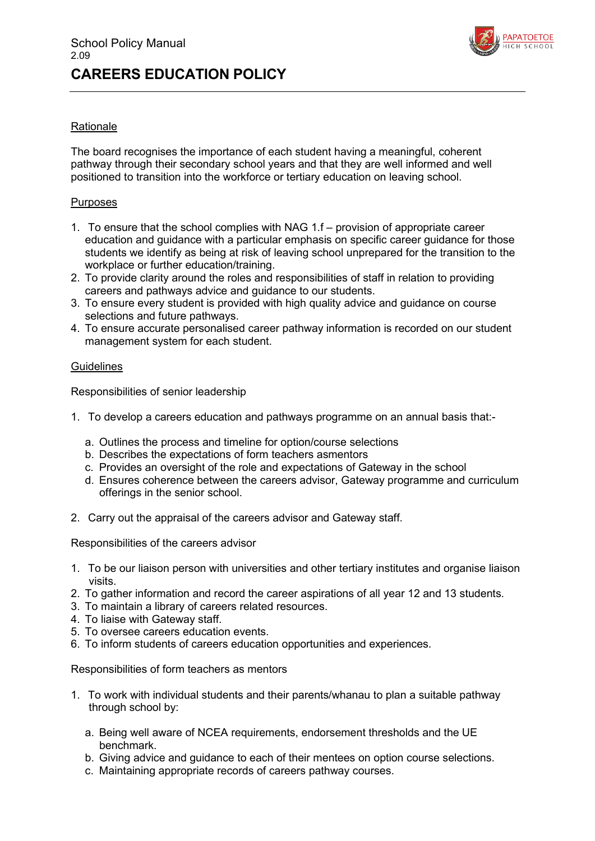

### **Rationale**

The board recognises the importance of each student having a meaningful, coherent pathway through their secondary school years and that they are well informed and well positioned to transition into the workforce or tertiary education on leaving school.

### Purposes

- 1. To ensure that the school complies with NAG 1.f provision of appropriate career education and guidance with a particular emphasis on specific career guidance for those students we identify as being at risk of leaving school unprepared for the transition to the workplace or further education/training.
- 2. To provide clarity around the roles and responsibilities of staff in relation to providing careers and pathways advice and guidance to our students.
- 3. To ensure every student is provided with high quality advice and guidance on course selections and future pathways.
- 4. To ensure accurate personalised career pathway information is recorded on our student management system for each student.

### **Guidelines**

Responsibilities of senior leadership

- 1. To develop a careers education and pathways programme on an annual basis that:
	- a. Outlines the process and timeline for option/course selections
	- b. Describes the expectations of form teachers asmentors
	- c. Provides an oversight of the role and expectations of Gateway in the school
	- d. Ensures coherence between the careers advisor, Gateway programme and curriculum offerings in the senior school.
- 2. Carry out the appraisal of the careers advisor and Gateway staff.

Responsibilities of the careers advisor

- 1. To be our liaison person with universities and other tertiary institutes and organise liaison visits.
- 2. To gather information and record the career aspirations of all year 12 and 13 students.
- 3. To maintain a library of careers related resources.
- 4. To liaise with Gateway staff.
- 5. To oversee careers education events.
- 6. To inform students of careers education opportunities and experiences.

Responsibilities of form teachers as mentors

- 1. To work with individual students and their parents/whanau to plan a suitable pathway through school by:
	- a. Being well aware of NCEA requirements, endorsement thresholds and the UE benchmark.
	- b. Giving advice and guidance to each of their mentees on option course selections.
	- c. Maintaining appropriate records of careers pathway courses.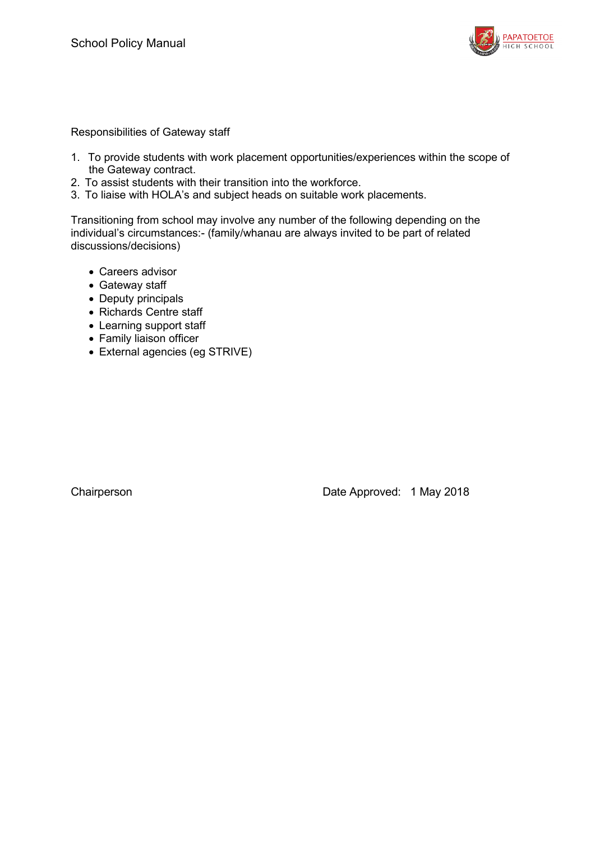

Responsibilities of Gateway staff

- 1. To provide students with work placement opportunities/experiences within the scope of the Gateway contract.
- 2. To assist students with their transition into the workforce.
- 3. To liaise with HOLA's and subject heads on suitable work placements.

Transitioning from school may involve any number of the following depending on the individual's circumstances:- (family/whanau are always invited to be part of related discussions/decisions)

- Careers advisor
- Gateway staff
- Deputy principals
- Richards Centre staff
- Learning support staff
- Family liaison officer
- External agencies (eg STRIVE)

Chairperson **Date Approved: 1 May 2018**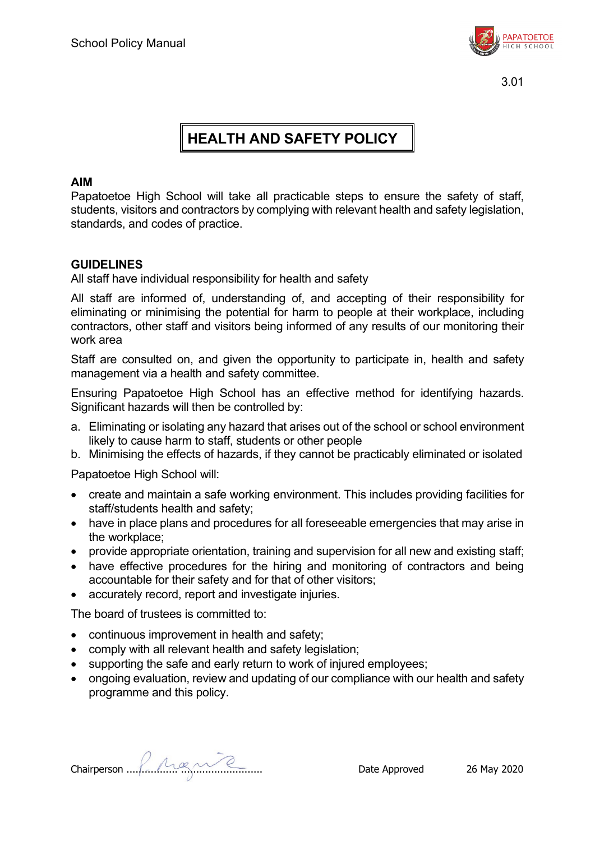

# **HEALTH AND SAFETY POLICY**

## **AIM**

Papatoetoe High School will take all practicable steps to ensure the safety of staff. students, visitors and contractors by complying with relevant health and safety legislation, standards, and codes of practice.

## **GUIDELINES**

All staff have individual responsibility for health and safety

All staff are informed of, understanding of, and accepting of their responsibility for eliminating or minimising the potential for harm to people at their workplace, including contractors, other staff and visitors being informed of any results of our monitoring their work area

Staff are consulted on, and given the opportunity to participate in, health and safety management via a health and safety committee.

Ensuring Papatoetoe High School has an effective method for identifying hazards. Significant hazards will then be controlled by:

- a. Eliminating or isolating any hazard that arises out of the school or school environment likely to cause harm to staff, students or other people
- b. Minimising the effects of hazards, if they cannot be practicably eliminated or isolated

Papatoetoe High School will:

- create and maintain a safe working environment. This includes providing facilities for staff/students health and safety;
- have in place plans and procedures for all foreseeable emergencies that may arise in the workplace;
- provide appropriate orientation, training and supervision for all new and existing staff;
- have effective procedures for the hiring and monitoring of contractors and being accountable for their safety and for that of other visitors;
- accurately record, report and investigate injuries.

The board of trustees is committed to:

- continuous improvement in health and safety;
- comply with all relevant health and safety legislation;
- supporting the safe and early return to work of injured employees;
- ongoing evaluation, review and updating of our compliance with our health and safety programme and this policy.

Chairperson ................. ........................... Date Approved 26 May 2020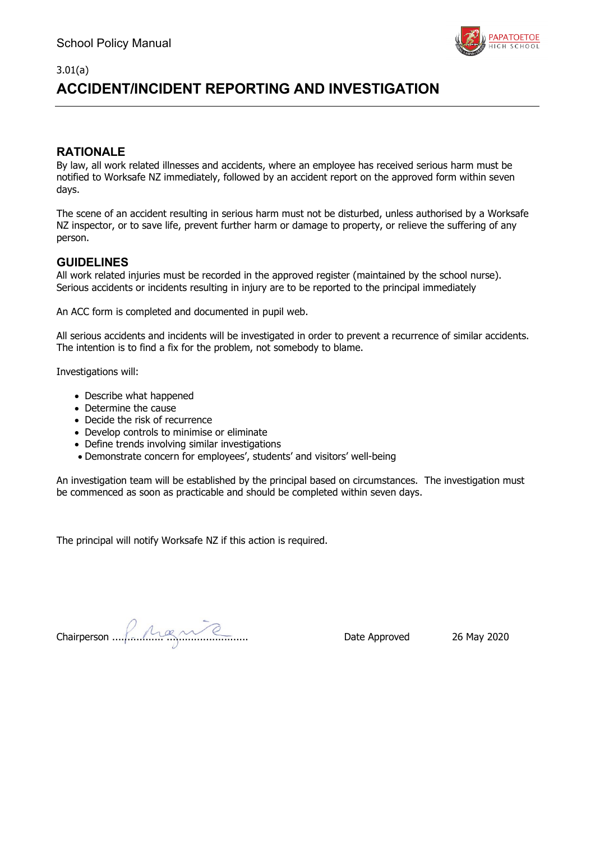

# **ACCIDENT/INCIDENT REPORTING AND INVESTIGATION**

### **RATIONALE**

3.01(a)

By law, all work related illnesses and accidents, where an employee has received serious harm must be notified to Worksafe NZ immediately, followed by an accident report on the approved form within seven days.

The scene of an accident resulting in serious harm must not be disturbed, unless authorised by a Worksafe NZ inspector, or to save life, prevent further harm or damage to property, or relieve the suffering of any person.

### **GUIDELINES**

All work related injuries must be recorded in the approved register (maintained by the school nurse). Serious accidents or incidents resulting in injury are to be reported to the principal immediately

An ACC form is completed and documented in pupil web.

All serious accidents and incidents will be investigated in order to prevent a recurrence of similar accidents. The intention is to find a fix for the problem, not somebody to blame.

Investigations will:

- Describe what happened
- Determine the cause
- Decide the risk of recurrence
- Develop controls to minimise or eliminate
- Define trends involving similar investigations
- Demonstrate concern for employees', students' and visitors' well-being

An investigation team will be established by the principal based on circumstances. The investigation must be commenced as soon as practicable and should be completed within seven days.

The principal will notify Worksafe NZ if this action is required.

Chairperson ................. ........................... Date Approved 26 May 2020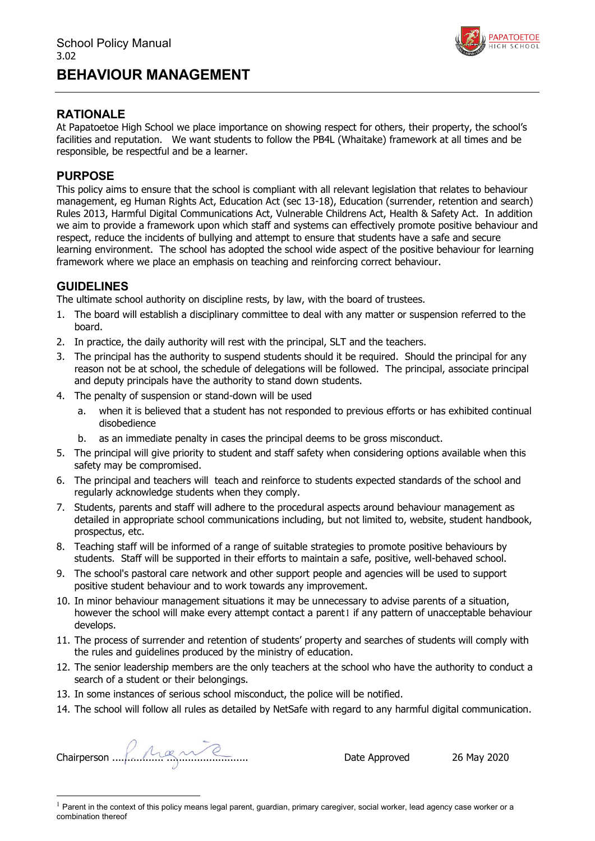

## **RATIONALE**

At Papatoetoe High School we place importance on showing respect for others, their property, the school's facilities and reputation. We want students to follow the PB4L (Whaitake) framework at all times and be responsible, be respectful and be a learner.

### **PURPOSE**

This policy aims to ensure that the school is compliant with all relevant legislation that relates to behaviour management, eg Human Rights Act, Education Act (sec 13-18), Education (surrender, retention and search) Rules 2013, Harmful Digital Communications Act, Vulnerable Childrens Act, Health & Safety Act. In addition we aim to provide a framework upon which staff and systems can effectively promote positive behaviour and respect, reduce the incidents of bullying and attempt to ensure that students have a safe and secure learning environment. The school has adopted the school wide aspect of the positive behaviour for learning framework where we place an emphasis on teaching and reinforcing correct behaviour.

### **GUIDELINES**

The ultimate school authority on discipline rests, by law, with the board of trustees.

- 1. The board will establish a disciplinary committee to deal with any matter or suspension referred to the board.
- 2. In practice, the daily authority will rest with the principal, SLT and the teachers.
- 3. The principal has the authority to suspend students should it be required. Should the principal for any reason not be at school, the schedule of delegations will be followed. The principal, associate principal and deputy principals have the authority to stand down students.
- 4. The penalty of suspension or stand-down will be used
	- a. when it is believed that a student has not responded to previous efforts or has exhibited continual disobedience
	- b. as an immediate penalty in cases the principal deems to be gross misconduct.
- 5. The principal will give priority to student and staff safety when considering options available when this safety may be compromised.
- 6. The principal and teachers will teach and reinforce to students expected standards of the school and regularly acknowledge students when they comply.
- 7. Students, parents and staff will adhere to the procedural aspects around behaviour management as detailed in appropriate school communications including, but not limited to, website, student handbook, prospectus, etc.
- 8. Teaching staff will be informed of a range of suitable strategies to promote positive behaviours by students. Staff will be supported in their efforts to maintain a safe, positive, well-behaved school.
- 9. The school's pastoral care network and other support people and agencies will be used to support positive student behaviour and to work towards any improvement.
- 10. In minor behaviour management situations it may be unnecessary to advise parents of a situation, however the school will make every attempt contact a parent[1](#page-25-0) if any pattern of unacceptable behaviour develops.
- 11. The process of surrender and retention of students' property and searches of students will comply with the rules and guidelines produced by the ministry of education.
- 12. The senior leadership members are the only teachers at the school who have the authority to conduct a search of a student or their belongings.
- 13. In some instances of serious school misconduct, the police will be notified.
- 14. The school will follow all rules as detailed by NetSafe with regard to any harmful digital communication.

Chairperson ................. ........................... Date Approved 26 May 2020

<span id="page-25-0"></span> $1$  Parent in the context of this policy means legal parent, guardian, primary caregiver, social worker, lead agency case worker or a combination thereof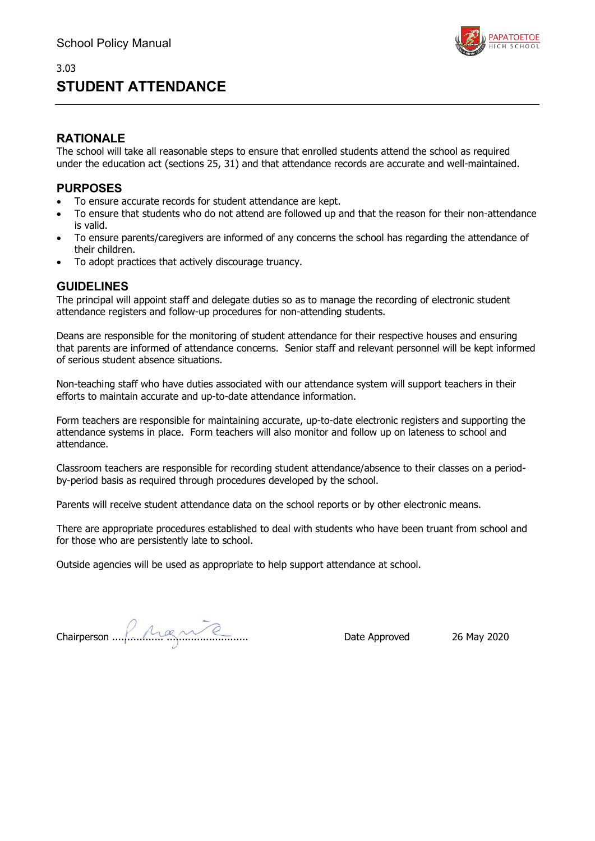# **STUDENT ATTENDANCE**



### **RATIONALE**

The school will take all reasonable steps to ensure that enrolled students attend the school as required under the education act (sections 25, 31) and that attendance records are accurate and well-maintained.

### **PURPOSES**

- To ensure accurate records for student attendance are kept.
- To ensure that students who do not attend are followed up and that the reason for their non-attendance is valid.
- To ensure parents/caregivers are informed of any concerns the school has regarding the attendance of their children.
- To adopt practices that actively discourage truancy.

### **GUIDELINES**

The principal will appoint staff and delegate duties so as to manage the recording of electronic student attendance registers and follow-up procedures for non-attending students.

Deans are responsible for the monitoring of student attendance for their respective houses and ensuring that parents are informed of attendance concerns. Senior staff and relevant personnel will be kept informed of serious student absence situations.

Non-teaching staff who have duties associated with our attendance system will support teachers in their efforts to maintain accurate and up-to-date attendance information.

Form teachers are responsible for maintaining accurate, up-to-date electronic registers and supporting the attendance systems in place. Form teachers will also monitor and follow up on lateness to school and attendance.

Classroom teachers are responsible for recording student attendance/absence to their classes on a periodby-period basis as required through procedures developed by the school.

Parents will receive student attendance data on the school reports or by other electronic means.

There are appropriate procedures established to deal with students who have been truant from school and for those who are persistently late to school.

Outside agencies will be used as appropriate to help support attendance at school.

Chairperson ................. ........................... Date Approved 26 May 2020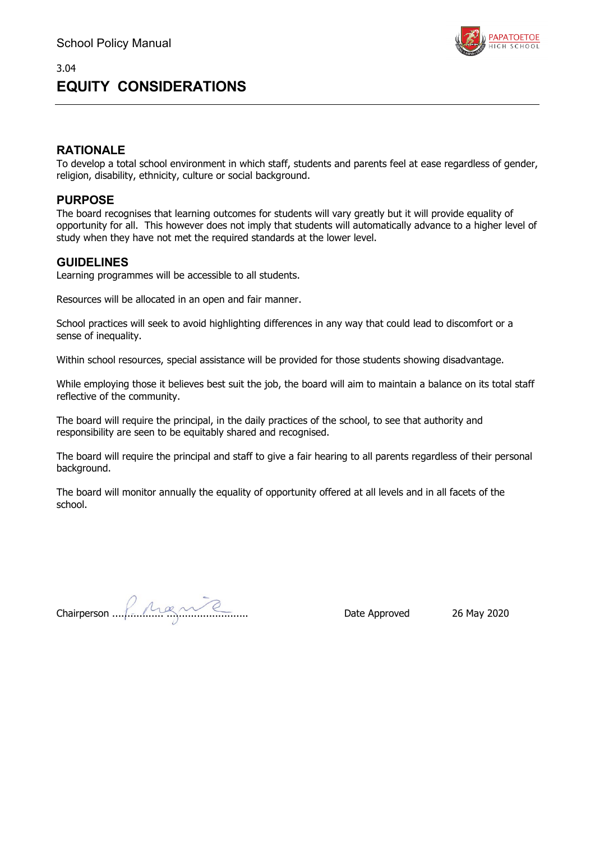

# **EQUITY CONSIDERATIONS**

## **RATIONALE**

To develop a total school environment in which staff, students and parents feel at ease regardless of gender, religion, disability, ethnicity, culture or social background.

### **PURPOSE**

The board recognises that learning outcomes for students will vary greatly but it will provide equality of opportunity for all. This however does not imply that students will automatically advance to a higher level of study when they have not met the required standards at the lower level.

### **GUIDELINES**

Learning programmes will be accessible to all students.

Resources will be allocated in an open and fair manner.

School practices will seek to avoid highlighting differences in any way that could lead to discomfort or a sense of inequality.

Within school resources, special assistance will be provided for those students showing disadvantage.

While employing those it believes best suit the job, the board will aim to maintain a balance on its total staff reflective of the community.

The board will require the principal, in the daily practices of the school, to see that authority and responsibility are seen to be equitably shared and recognised.

The board will require the principal and staff to give a fair hearing to all parents regardless of their personal background.

The board will monitor annually the equality of opportunity offered at all levels and in all facets of the school.

Chairperson ................. ........................... Date Approved 26 May 2020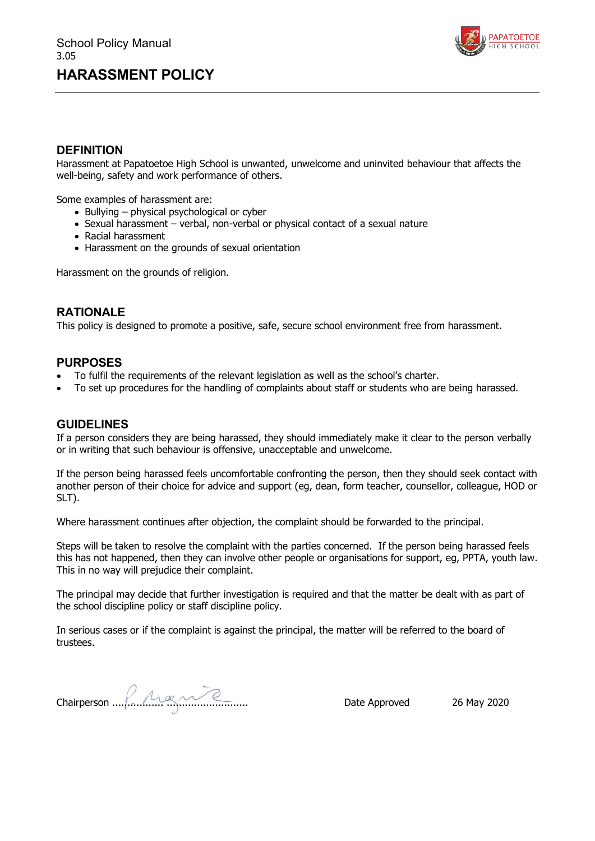

### **DEFINITION**

Harassment at Papatoetoe High School is unwanted, unwelcome and uninvited behaviour that affects the well-being, safety and work performance of others.

Some examples of harassment are:

- Bullying physical psychological or cyber
- Sexual harassment verbal, non-verbal or physical contact of a sexual nature
- Racial harassment
- Harassment on the grounds of sexual orientation

Harassment on the grounds of religion.

### **RATIONALE**

This policy is designed to promote a positive, safe, secure school environment free from harassment.

### **PURPOSES**

- To fulfil the requirements of the relevant legislation as well as the school's charter.
- To set up procedures for the handling of complaints about staff or students who are being harassed.

#### **GUIDELINES**

If a person considers they are being harassed, they should immediately make it clear to the person verbally or in writing that such behaviour is offensive, unacceptable and unwelcome.

If the person being harassed feels uncomfortable confronting the person, then they should seek contact with another person of their choice for advice and support (eg, dean, form teacher, counsellor, colleague, HOD or SLT).

Where harassment continues after objection, the complaint should be forwarded to the principal.

Steps will be taken to resolve the complaint with the parties concerned. If the person being harassed feels this has not happened, then they can involve other people or organisations for support, eg, PPTA, youth law. This in no way will prejudice their complaint.

The principal may decide that further investigation is required and that the matter be dealt with as part of the school discipline policy or staff discipline policy.

In serious cases or if the complaint is against the principal, the matter will be referred to the board of trustees.

Chairperson ................. ........................... Date Approved 26 May 2020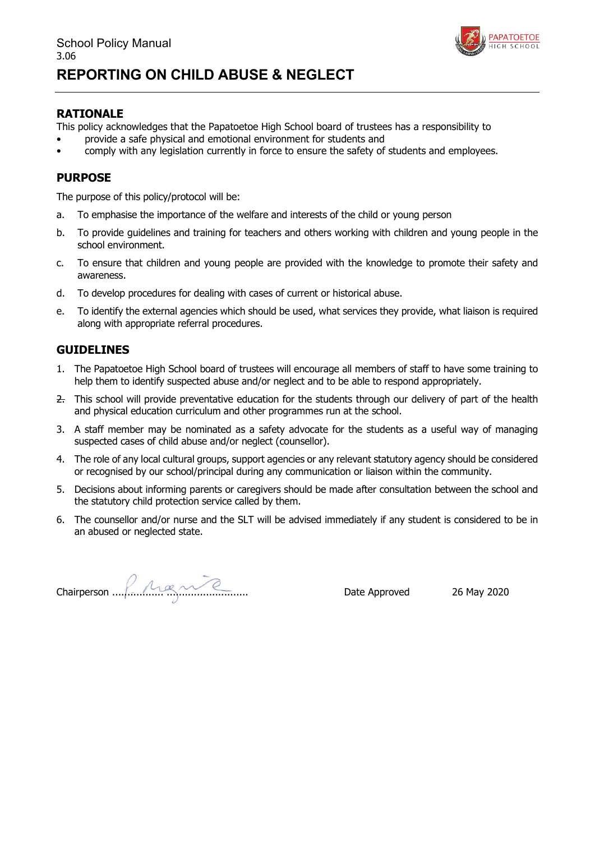

### **RATIONALE**

This policy acknowledges that the Papatoetoe High School board of trustees has a responsibility to

- provide a safe physical and emotional environment for students and
- comply with any legislation currently in force to ensure the safety of students and employees.

### **PURPOSE**

The purpose of this policy/protocol will be:

- a. To emphasise the importance of the welfare and interests of the child or young person
- b. To provide guidelines and training for teachers and others working with children and young people in the school environment.
- c. To ensure that children and young people are provided with the knowledge to promote their safety and awareness.
- d. To develop procedures for dealing with cases of current or historical abuse.
- e. To identify the external agencies which should be used, what services they provide, what liaison is required along with appropriate referral procedures.

- 1. The Papatoetoe High School board of trustees will encourage all members of staff to have some training to help them to identify suspected abuse and/or neglect and to be able to respond appropriately.
- 2. This school will provide preventative education for the students through our delivery of part of the health and physical education curriculum and other programmes run at the school.
- 3. A staff member may be nominated as a safety advocate for the students as a useful way of managing suspected cases of child abuse and/or neglect (counsellor).
- 4. The role of any local cultural groups, support agencies or any relevant statutory agency should be considered or recognised by our school/principal during any communication or liaison within the community.
- 5. Decisions about informing parents or caregivers should be made after consultation between the school and the statutory child protection service called by them.
- 6. The counsellor and/or nurse and the SLT will be advised immediately if any student is considered to be in an abused or neglected state.

Chairperson ................. ........................... Date Approved 26 May 2020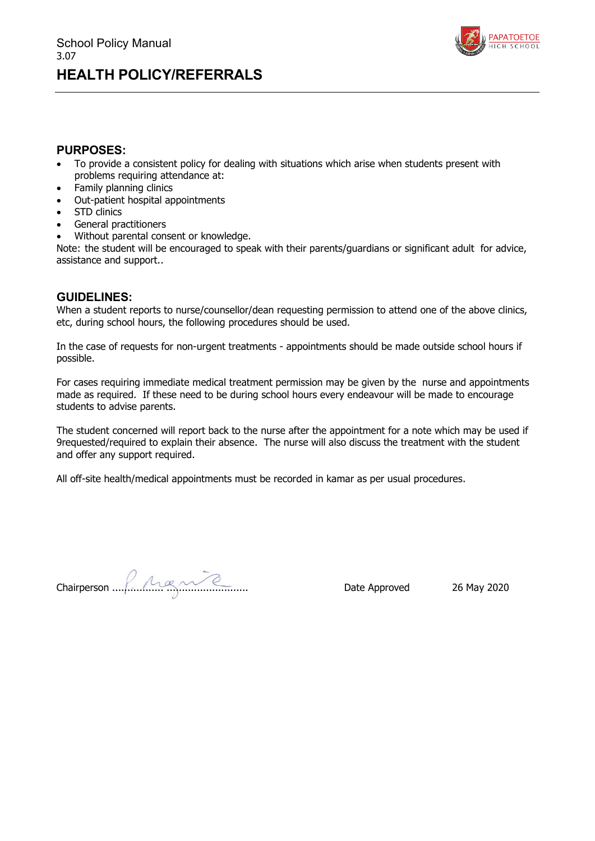

### **PURPOSES:**

- To provide a consistent policy for dealing with situations which arise when students present with problems requiring attendance at:
- Family planning clinics
- Out-patient hospital appointments
- STD clinics
- General practitioners
- Without parental consent or knowledge.

Note: the student will be encouraged to speak with their parents/guardians or significant adult for advice, assistance and support..

### **GUIDELINES:**

When a student reports to nurse/counsellor/dean requesting permission to attend one of the above clinics, etc, during school hours, the following procedures should be used.

In the case of requests for non-urgent treatments - appointments should be made outside school hours if possible.

For cases requiring immediate medical treatment permission may be given by the nurse and appointments made as required. If these need to be during school hours every endeavour will be made to encourage students to advise parents.

The student concerned will report back to the nurse after the appointment for a note which may be used if 9requested/required to explain their absence. The nurse will also discuss the treatment with the student and offer any support required.

All off-site health/medical appointments must be recorded in kamar as per usual procedures.

Chairperson ................. ........................... Date Approved 26 May 2020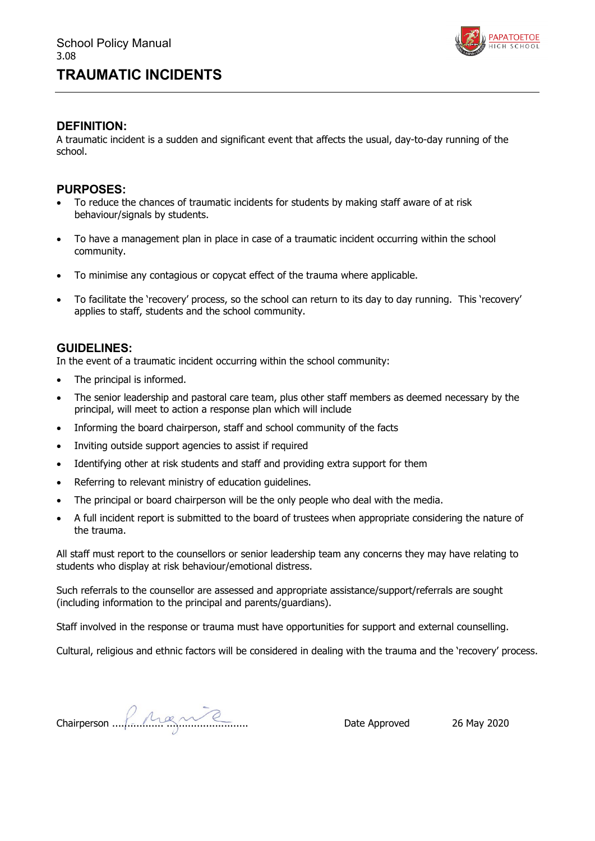

### **DEFINITION:**

A traumatic incident is a sudden and significant event that affects the usual, day-to-day running of the school.

### **PURPOSES:**

- To reduce the chances of traumatic incidents for students by making staff aware of at risk behaviour/signals by students.
- To have a management plan in place in case of a traumatic incident occurring within the school community.
- To minimise any contagious or copycat effect of the trauma where applicable.
- To facilitate the 'recovery' process, so the school can return to its day to day running. This 'recovery' applies to staff, students and the school community.

### **GUIDELINES:**

In the event of a traumatic incident occurring within the school community:

- The principal is informed.
- The senior leadership and pastoral care team, plus other staff members as deemed necessary by the principal, will meet to action a response plan which will include
- Informing the board chairperson, staff and school community of the facts
- Inviting outside support agencies to assist if required
- Identifying other at risk students and staff and providing extra support for them
- Referring to relevant ministry of education quidelines.
- The principal or board chairperson will be the only people who deal with the media.
- A full incident report is submitted to the board of trustees when appropriate considering the nature of the trauma.

All staff must report to the counsellors or senior leadership team any concerns they may have relating to students who display at risk behaviour/emotional distress.

Such referrals to the counsellor are assessed and appropriate assistance/support/referrals are sought (including information to the principal and parents/guardians).

Staff involved in the response or trauma must have opportunities for support and external counselling.

Cultural, religious and ethnic factors will be considered in dealing with the trauma and the 'recovery' process.

Chairperson ................. ........................... Date Approved 26 May 2020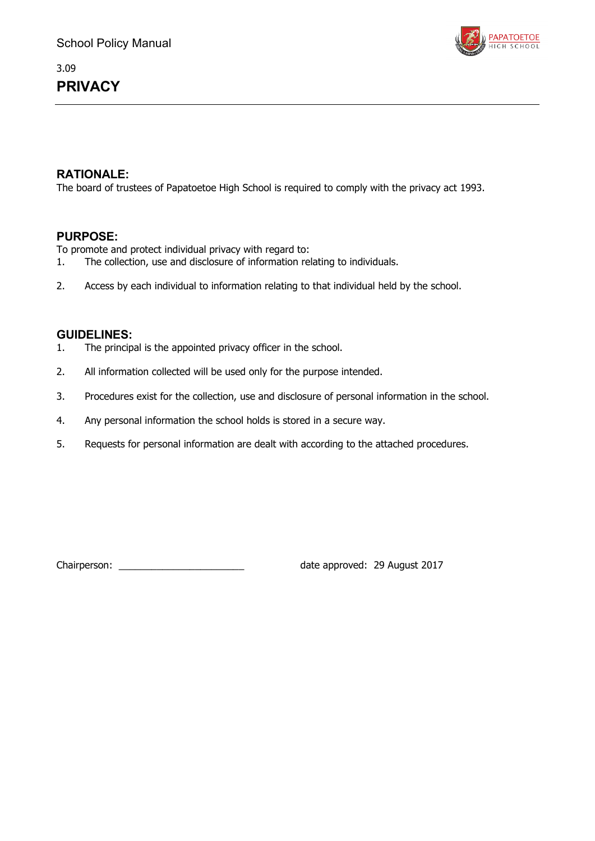## 3.09 **PRIVACY**



## **RATIONALE:**

The board of trustees of Papatoetoe High School is required to comply with the privacy act 1993.

### **PURPOSE:**

To promote and protect individual privacy with regard to:<br>1. The collection, use and disclosure of information rel

- The collection, use and disclosure of information relating to individuals.
- 2. Access by each individual to information relating to that individual held by the school.

### **GUIDELINES:**

- 1. The principal is the appointed privacy officer in the school.
- 2. All information collected will be used only for the purpose intended.
- 3. Procedures exist for the collection, use and disclosure of personal information in the school.
- 4. Any personal information the school holds is stored in a secure way.
- 5. Requests for personal information are dealt with according to the attached procedures.

Chairperson: \_\_\_\_\_\_\_\_\_\_\_\_\_\_\_\_\_\_\_\_\_\_\_\_\_\_\_\_\_\_\_\_\_ date approved: 29 August 2017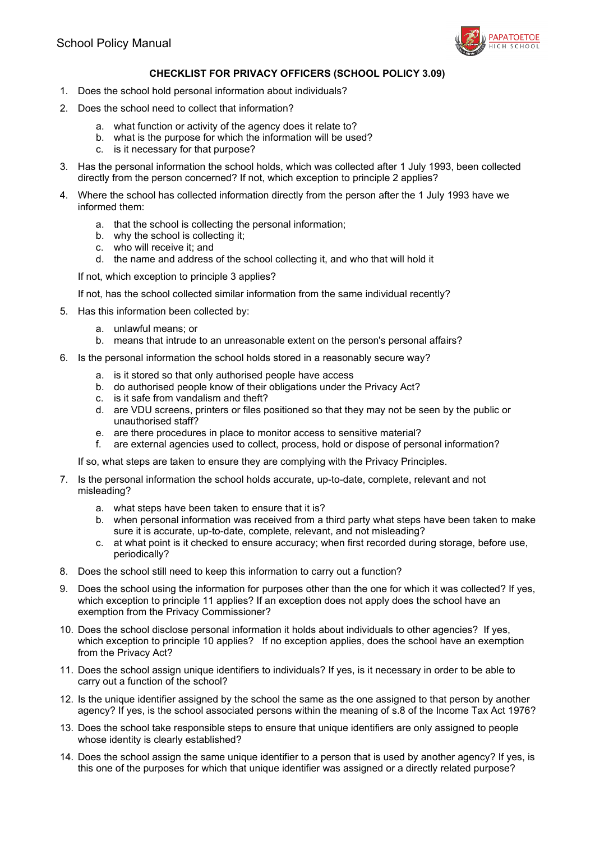

### **CHECKLIST FOR PRIVACY OFFICERS (SCHOOL POLICY 3.09)**

- 1. Does the school hold personal information about individuals?
- 2. Does the school need to collect that information?
	- a. what function or activity of the agency does it relate to?
	- b. what is the purpose for which the information will be used?
	- c. is it necessary for that purpose?
- 3. Has the personal information the school holds, which was collected after 1 July 1993, been collected directly from the person concerned? If not, which exception to principle 2 applies?
- 4. Where the school has collected information directly from the person after the 1 July 1993 have we informed them:
	- a. that the school is collecting the personal information;
	- b. why the school is collecting it;
	- c. who will receive it; and
	- d. the name and address of the school collecting it, and who that will hold it

If not, which exception to principle 3 applies?

If not, has the school collected similar information from the same individual recently?

5. Has this information been collected by:

- a. unlawful means; or
- b. means that intrude to an unreasonable extent on the person's personal affairs?
- 6. Is the personal information the school holds stored in a reasonably secure way?
	- a. is it stored so that only authorised people have access
	- b. do authorised people know of their obligations under the Privacy Act?
	- c. is it safe from vandalism and theft?
	- d. are VDU screens, printers or files positioned so that they may not be seen by the public or unauthorised staff?
	- e. are there procedures in place to monitor access to sensitive material?
	- f. are external agencies used to collect, process, hold or dispose of personal information?

If so, what steps are taken to ensure they are complying with the Privacy Principles.

- 7. Is the personal information the school holds accurate, up-to-date, complete, relevant and not misleading?
	- a. what steps have been taken to ensure that it is?
	- b. when personal information was received from a third party what steps have been taken to make sure it is accurate, up-to-date, complete, relevant, and not misleading?
	- c. at what point is it checked to ensure accuracy; when first recorded during storage, before use, periodically?
- 8. Does the school still need to keep this information to carry out a function?
- 9. Does the school using the information for purposes other than the one for which it was collected? If yes, which exception to principle 11 applies? If an exception does not apply does the school have an exemption from the Privacy Commissioner?
- 10. Does the school disclose personal information it holds about individuals to other agencies? If yes, which exception to principle 10 applies? If no exception applies, does the school have an exemption from the Privacy Act?
- 11. Does the school assign unique identifiers to individuals? If yes, is it necessary in order to be able to carry out a function of the school?
- 12. Is the unique identifier assigned by the school the same as the one assigned to that person by another agency? If yes, is the school associated persons within the meaning of s.8 of the Income Tax Act 1976?
- 13. Does the school take responsible steps to ensure that unique identifiers are only assigned to people whose identity is clearly established?
- 14. Does the school assign the same unique identifier to a person that is used by another agency? If yes, is this one of the purposes for which that unique identifier was assigned or a directly related purpose?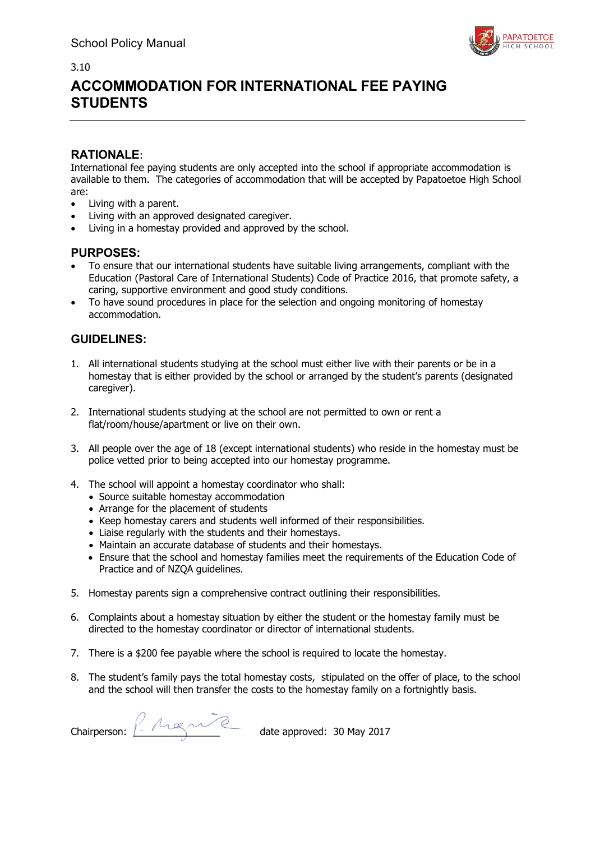

# **ACCOMMODATION FOR INTERNATIONAL FEE PAYING STUDENTS**

### **RATIONALE**:

International fee paying students are only accepted into the school if appropriate accommodation is available to them. The categories of accommodation that will be accepted by Papatoetoe High School are:

- Living with a parent.
- Living with an approved designated caregiver.
- Living in a homestay provided and approved by the school.

### **PURPOSES:**

- To ensure that our international students have suitable living arrangements, compliant with the Education (Pastoral Care of International Students) Code of Practice 2016, that promote safety, a caring, supportive environment and good study conditions.
- To have sound procedures in place for the selection and ongoing monitoring of homestay accommodation.

- 1. All international students studying at the school must either live with their parents or be in a homestay that is either provided by the school or arranged by the student's parents (designated caregiver).
- 2. International students studying at the school are not permitted to own or rent a flat/room/house/apartment or live on their own.
- 3. All people over the age of 18 (except international students) who reside in the homestay must be police vetted prior to being accepted into our homestay programme.
- 4. The school will appoint a homestay coordinator who shall:
	- Source suitable homestay accommodation
	- Arrange for the placement of students
	- Keep homestay carers and students well informed of their responsibilities.
	- Liaise regularly with the students and their homestays.
	- Maintain an accurate database of students and their homestays.
	- Ensure that the school and homestay families meet the requirements of the Education Code of Practice and of NZQA guidelines.
- 5. Homestay parents sign a comprehensive contract outlining their responsibilities.
- 6. Complaints about a homestay situation by either the student or the homestay family must be directed to the homestay coordinator or director of international students.
- 7. There is a \$200 fee payable where the school is required to locate the homestay.
- 8. The student's family pays the total homestay costs, stipulated on the offer of place, to the school and the school will then transfer the costs to the homestay family on a fortnightly basis.

Chairperson:  $\frac{1}{2}$  A  $\alpha$   $\alpha$  ate approved: 30 May 2017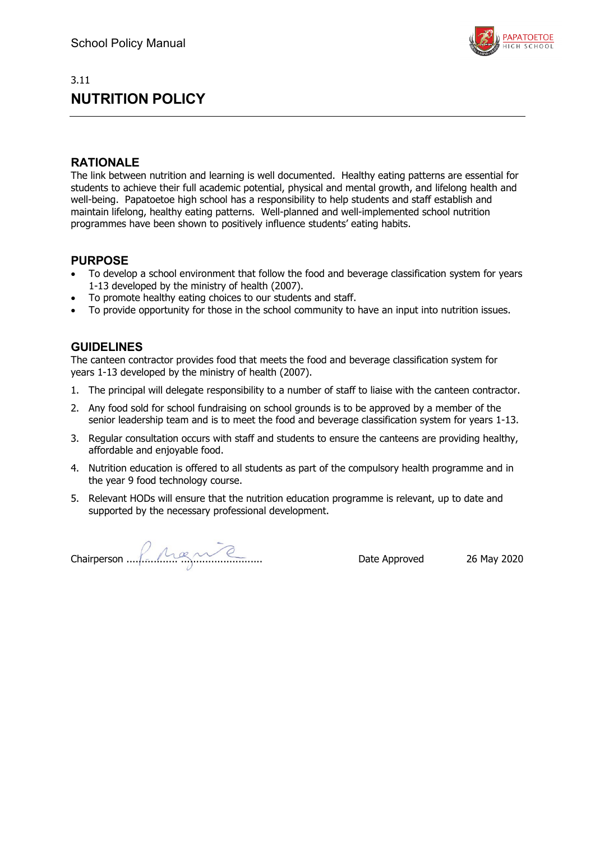## 3.11 **NUTRITION POLICY**



### **RATIONALE**

The link between nutrition and learning is well documented. Healthy eating patterns are essential for students to achieve their full academic potential, physical and mental growth, and lifelong health and well-being. Papatoetoe high school has a responsibility to help students and staff establish and maintain lifelong, healthy eating patterns. Well-planned and well-implemented school nutrition programmes have been shown to positively influence students' eating habits.

### **PURPOSE**

- To develop a school environment that follow the food and beverage classification system for years 1-13 developed by the ministry of health (2007).
- To promote healthy eating choices to our students and staff.
- To provide opportunity for those in the school community to have an input into nutrition issues.

### **GUIDELINES**

The canteen contractor provides food that meets the food and beverage classification system for years 1-13 developed by the ministry of health (2007).

- 1. The principal will delegate responsibility to a number of staff to liaise with the canteen contractor.
- 2. Any food sold for school fundraising on school grounds is to be approved by a member of the senior leadership team and is to meet the food and beverage classification system for years 1-13.
- 3. Regular consultation occurs with staff and students to ensure the canteens are providing healthy, affordable and enjoyable food.
- 4. Nutrition education is offered to all students as part of the compulsory health programme and in the year 9 food technology course.
- 5. Relevant HODs will ensure that the nutrition education programme is relevant, up to date and supported by the necessary professional development.

Chairperson ................. ........................... Date Approved 26 May 2020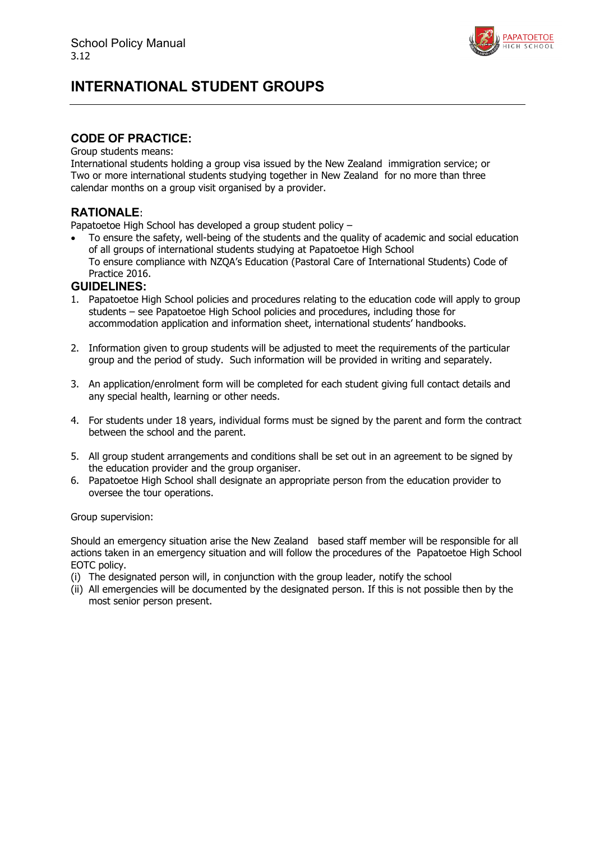

# **INTERNATIONAL STUDENT GROUPS**

### **CODE OF PRACTICE:**

#### Group students means:

International students holding a group visa issued by the New Zealand immigration service; or Two or more international students studying together in New Zealand for no more than three calendar months on a group visit organised by a provider.

### **RATIONALE**:

Papatoetoe High School has developed a group student policy –

• To ensure the safety, well-being of the students and the quality of academic and social education of all groups of international students studying at Papatoetoe High School To ensure compliance with NZQA's Education (Pastoral Care of International Students) Code of Practice 2016.

### **GUIDELINES:**

- 1. Papatoetoe High School policies and procedures relating to the education code will apply to group students – see Papatoetoe High School policies and procedures, including those for accommodation application and information sheet, international students' handbooks.
- 2. Information given to group students will be adjusted to meet the requirements of the particular group and the period of study. Such information will be provided in writing and separately.
- 3. An application/enrolment form will be completed for each student giving full contact details and any special health, learning or other needs.
- 4. For students under 18 years, individual forms must be signed by the parent and form the contract between the school and the parent.
- 5. All group student arrangements and conditions shall be set out in an agreement to be signed by the education provider and the group organiser.
- 6. Papatoetoe High School shall designate an appropriate person from the education provider to oversee the tour operations.

Group supervision:

Should an emergency situation arise the New Zealand based staff member will be responsible for all actions taken in an emergency situation and will follow the procedures of the Papatoetoe High School EOTC policy.

- (i) The designated person will, in conjunction with the group leader, notify the school
- (ii) All emergencies will be documented by the designated person. If this is not possible then by the most senior person present.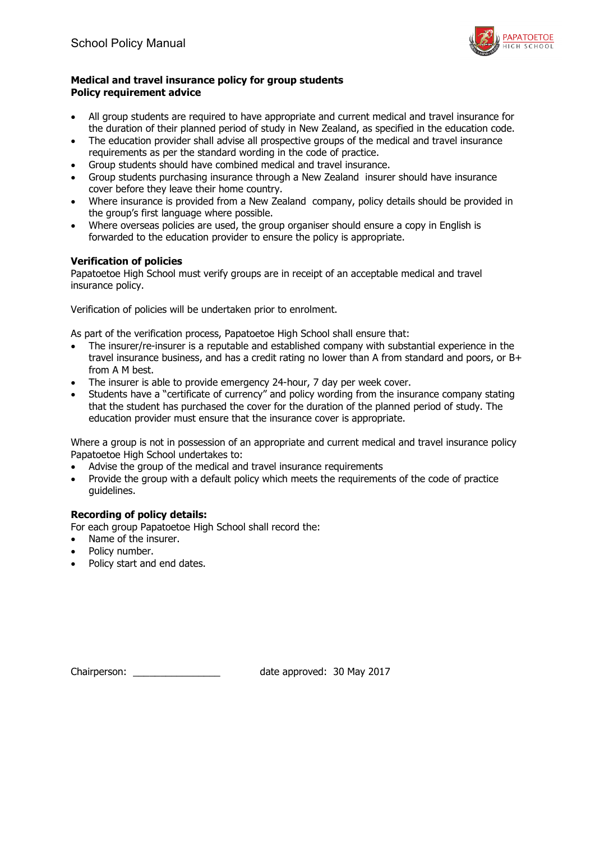

### **Medical and travel insurance policy for group students Policy requirement advice**

- All group students are required to have appropriate and current medical and travel insurance for the duration of their planned period of study in New Zealand, as specified in the education code.
- The education provider shall advise all prospective groups of the medical and travel insurance requirements as per the standard wording in the code of practice.
- Group students should have combined medical and travel insurance.
- Group students purchasing insurance through a New Zealand insurer should have insurance cover before they leave their home country.
- Where insurance is provided from a New Zealand company, policy details should be provided in the group's first language where possible.
- Where overseas policies are used, the group organiser should ensure a copy in English is forwarded to the education provider to ensure the policy is appropriate.

### **Verification of policies**

Papatoetoe High School must verify groups are in receipt of an acceptable medical and travel insurance policy.

Verification of policies will be undertaken prior to enrolment.

As part of the verification process, Papatoetoe High School shall ensure that:

- The insurer/re-insurer is a reputable and established company with substantial experience in the travel insurance business, and has a credit rating no lower than A from standard and poors, or B+ from A M best.
- The insurer is able to provide emergency 24-hour, 7 day per week cover.
- Students have a "certificate of currency" and policy wording from the insurance company stating that the student has purchased the cover for the duration of the planned period of study. The education provider must ensure that the insurance cover is appropriate.

Where a group is not in possession of an appropriate and current medical and travel insurance policy Papatoetoe High School undertakes to:

- Advise the group of the medical and travel insurance requirements
- Provide the group with a default policy which meets the requirements of the code of practice guidelines.

### **Recording of policy details:**

For each group Papatoetoe High School shall record the:

- Name of the insurer.
- Policy number.
- Policy start and end dates.

Chairperson: \_\_\_\_\_\_\_\_\_\_\_\_\_\_\_\_ date approved: 30 May 2017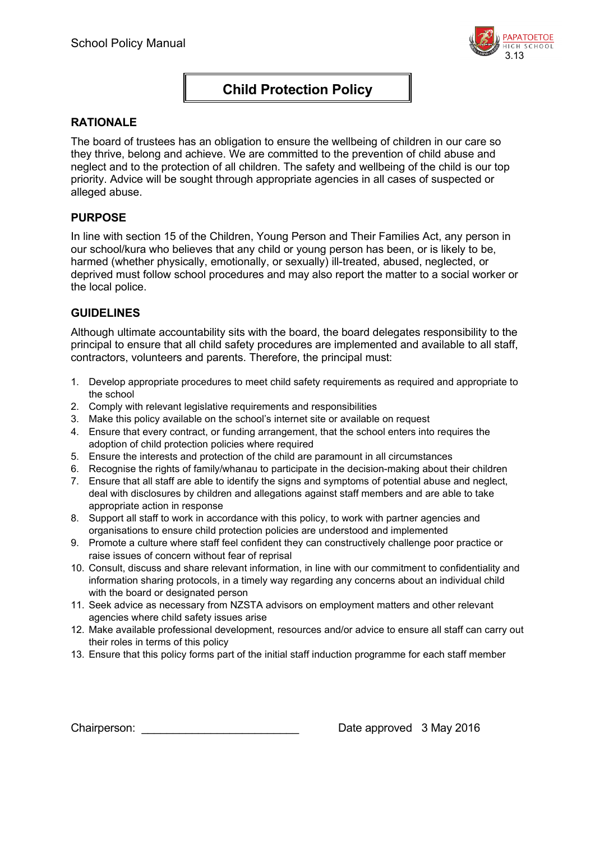

## **Child Protection Policy**

### **RATIONALE**

The board of trustees has an obligation to ensure the wellbeing of children in our care so they thrive, belong and achieve. We are committed to the prevention of child abuse and neglect and to the protection of all children. The safety and wellbeing of the child is our top priority. Advice will be sought through appropriate agencies in all cases of suspected or alleged abuse.

### **PURPOSE**

In line with section 15 of the Children, Young Person and Their Families Act, any person in our school/kura who believes that any child or young person has been, or is likely to be, harmed (whether physically, emotionally, or sexually) ill-treated, abused, neglected, or deprived must follow school procedures and may also report the matter to a social worker or the local police.

### **GUIDELINES**

Although ultimate accountability sits with the board, the board delegates responsibility to the principal to ensure that all child safety procedures are implemented and available to all staff, contractors, volunteers and parents. Therefore, the principal must:

- 1. Develop appropriate procedures to meet child safety requirements as required and appropriate to the school
- 2. Comply with relevant legislative requirements and responsibilities
- 3. Make this policy available on the school's internet site or available on request
- 4. Ensure that every contract, or funding arrangement, that the school enters into requires the adoption of child protection policies where required
- 5. Ensure the interests and protection of the child are paramount in all circumstances
- 6. Recognise the rights of family/whanau to participate in the decision-making about their children
- 7. Ensure that all staff are able to identify the signs and symptoms of potential abuse and neglect, deal with disclosures by children and allegations against staff members and are able to take appropriate action in response
- 8. Support all staff to work in accordance with this policy, to work with partner agencies and organisations to ensure child protection policies are understood and implemented
- 9. Promote a culture where staff feel confident they can constructively challenge poor practice or raise issues of concern without fear of reprisal
- 10. Consult, discuss and share relevant information, in line with our commitment to confidentiality and information sharing protocols, in a timely way regarding any concerns about an individual child with the board or designated person
- 11. Seek advice as necessary from NZSTA advisors on employment matters and other relevant agencies where child safety issues arise
- 12. Make available professional development, resources and/or advice to ensure all staff can carry out their roles in terms of this policy
- 13. Ensure that this policy forms part of the initial staff induction programme for each staff member

Chairperson: Chairperson: Chairperson: Chairperson: Chairperson: Chairperson: Chairperson: Chairperson: Chairperson: Chairperson: Chairperson: Chairperson: Chairperson: Chairperson: Chairperson: Chairperson: Chairperson: C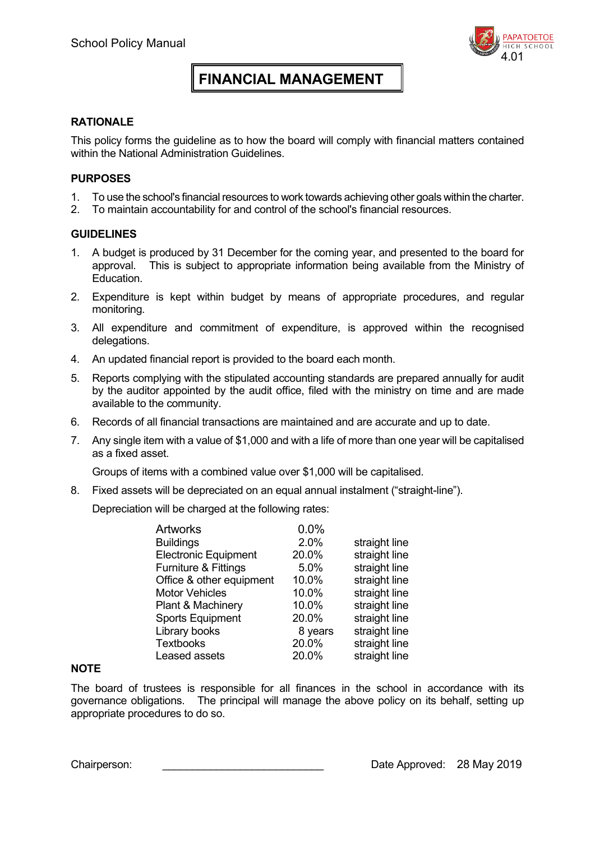# **FINANCIAL MANAGEMENT**

### **RATIONALE**

This policy forms the guideline as to how the board will comply with financial matters contained within the National Administration Guidelines.

### **PURPOSES**

- 1. To use the school's financial resources to work towards achieving other goals within the charter.
- 2. To maintain accountability for and control of the school's financial resources.

### **GUIDELINES**

- 1. A budget is produced by 31 December for the coming year, and presented to the board for approval. This is subject to appropriate information being available from the Ministry of Education.
- 2. Expenditure is kept within budget by means of appropriate procedures, and regular monitoring.
- 3. All expenditure and commitment of expenditure, is approved within the recognised delegations.
- 4. An updated financial report is provided to the board each month.
- 5. Reports complying with the stipulated accounting standards are prepared annually for audit by the auditor appointed by the audit office, filed with the ministry on time and are made available to the community.
- 6. Records of all financial transactions are maintained and are accurate and up to date.
- 7. Any single item with a value of \$1,000 and with a life of more than one year will be capitalised as a fixed asset.

Groups of items with a combined value over \$1,000 will be capitalised.

8. Fixed assets will be depreciated on an equal annual instalment ("straight-line").

Depreciation will be charged at the following rates:

| <b>Artworks</b>              | 0.0%    |               |
|------------------------------|---------|---------------|
| <b>Buildings</b>             | 2.0%    | straight line |
| <b>Electronic Equipment</b>  | 20.0%   | straight line |
| Furniture & Fittings         | 5.0%    | straight line |
| Office & other equipment     | 10.0%   | straight line |
| <b>Motor Vehicles</b>        | 10.0%   | straight line |
| <b>Plant &amp; Machinery</b> | 10.0%   | straight line |
| <b>Sports Equipment</b>      | 20.0%   | straight line |
| Library books                | 8 years | straight line |
| <b>Textbooks</b>             | 20.0%   | straight line |
| Leased assets                | 20.0%   | straight line |

### **NOTE**

The board of trustees is responsible for all finances in the school in accordance with its governance obligations. The principal will manage the above policy on its behalf, setting up appropriate procedures to do so.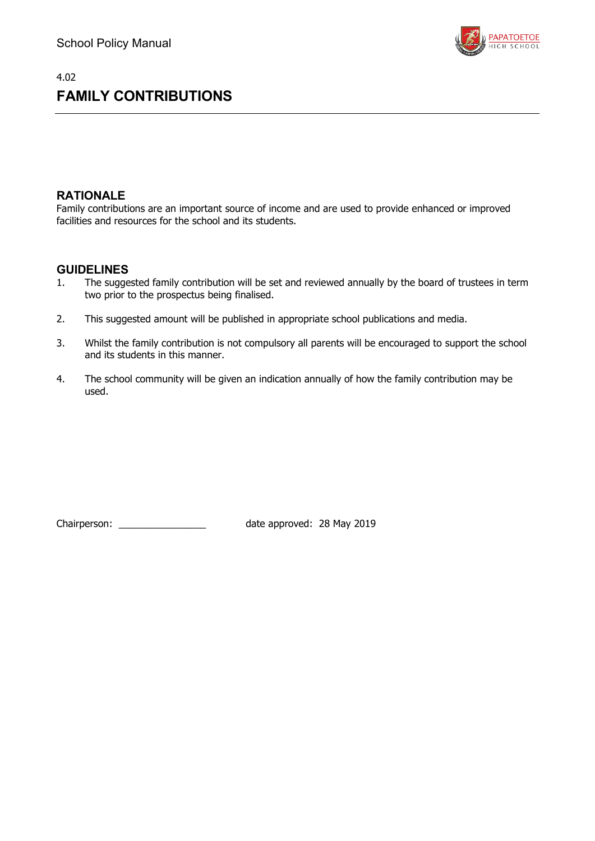

# 4.02 **FAMILY CONTRIBUTIONS**

## **RATIONALE**

Family contributions are an important source of income and are used to provide enhanced or improved facilities and resources for the school and its students.

### **GUIDELINES**

- 1. The suggested family contribution will be set and reviewed annually by the board of trustees in term two prior to the prospectus being finalised.
- 2. This suggested amount will be published in appropriate school publications and media.
- 3. Whilst the family contribution is not compulsory all parents will be encouraged to support the school and its students in this manner.
- 4. The school community will be given an indication annually of how the family contribution may be used.

Chairperson: \_\_\_\_\_\_\_\_\_\_\_\_\_\_\_\_ date approved: 28 May 2019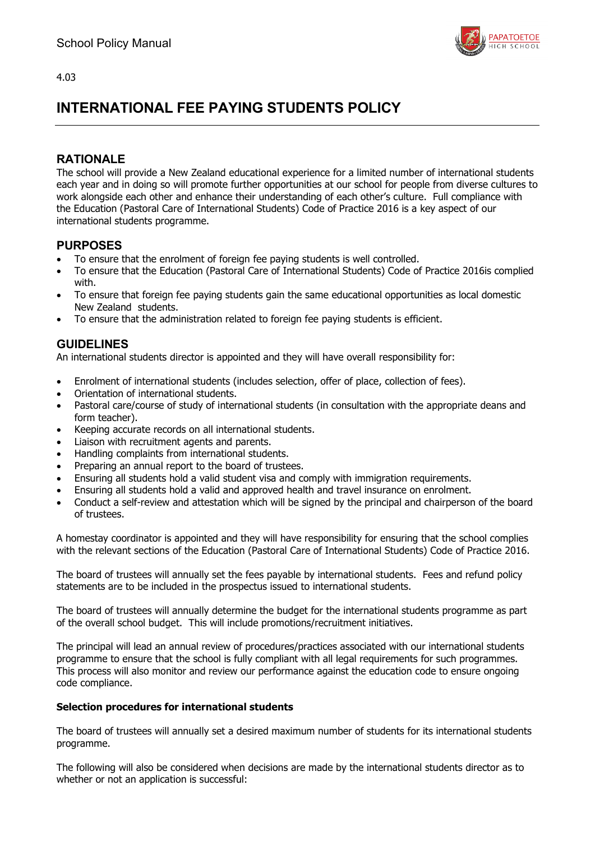

# **INTERNATIONAL FEE PAYING STUDENTS POLICY**

## **RATIONALE**

The school will provide a New Zealand educational experience for a limited number of international students each year and in doing so will promote further opportunities at our school for people from diverse cultures to work alongside each other and enhance their understanding of each other's culture. Full compliance with the Education (Pastoral Care of International Students) Code of Practice 2016 is a key aspect of our international students programme.

## **PURPOSES**

- To ensure that the enrolment of foreign fee paying students is well controlled.
- To ensure that the Education (Pastoral Care of International Students) Code of Practice 2016is complied with.
- To ensure that foreign fee paying students gain the same educational opportunities as local domestic New Zealand students.
- To ensure that the administration related to foreign fee paying students is efficient.

## **GUIDELINES**

An international students director is appointed and they will have overall responsibility for:

- Enrolment of international students (includes selection, offer of place, collection of fees).
- Orientation of international students.
- Pastoral care/course of study of international students (in consultation with the appropriate deans and form teacher).
- Keeping accurate records on all international students.
- Liaison with recruitment agents and parents.
- Handling complaints from international students.
- Preparing an annual report to the board of trustees.
- Ensuring all students hold a valid student visa and comply with immigration requirements.
- Ensuring all students hold a valid and approved health and travel insurance on enrolment.
- Conduct a self-review and attestation which will be signed by the principal and chairperson of the board of trustees.

A homestay coordinator is appointed and they will have responsibility for ensuring that the school complies with the relevant sections of the Education (Pastoral Care of International Students) Code of Practice 2016.

The board of trustees will annually set the fees payable by international students. Fees and refund policy statements are to be included in the prospectus issued to international students.

The board of trustees will annually determine the budget for the international students programme as part of the overall school budget. This will include promotions/recruitment initiatives.

The principal will lead an annual review of procedures/practices associated with our international students programme to ensure that the school is fully compliant with all legal requirements for such programmes. This process will also monitor and review our performance against the education code to ensure ongoing code compliance.

### **Selection procedures for international students**

The board of trustees will annually set a desired maximum number of students for its international students programme.

The following will also be considered when decisions are made by the international students director as to whether or not an application is successful: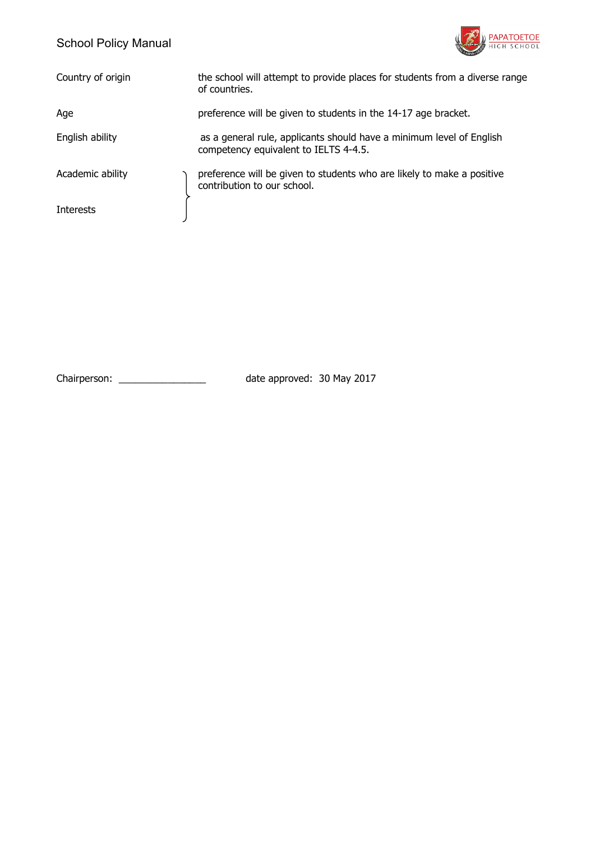

| Country of origin | the school will attempt to provide places for students from a diverse range<br>of countries.                  |
|-------------------|---------------------------------------------------------------------------------------------------------------|
| Age               | preference will be given to students in the 14-17 age bracket.                                                |
| English ability   | as a general rule, applicants should have a minimum level of English<br>competency equivalent to IELTS 4-4.5. |
| Academic ability  | preference will be given to students who are likely to make a positive<br>contribution to our school.         |
| <b>Interests</b>  |                                                                                                               |

Chairperson: \_\_\_\_\_\_\_\_\_\_\_\_\_\_\_\_ date approved: 30 May 2017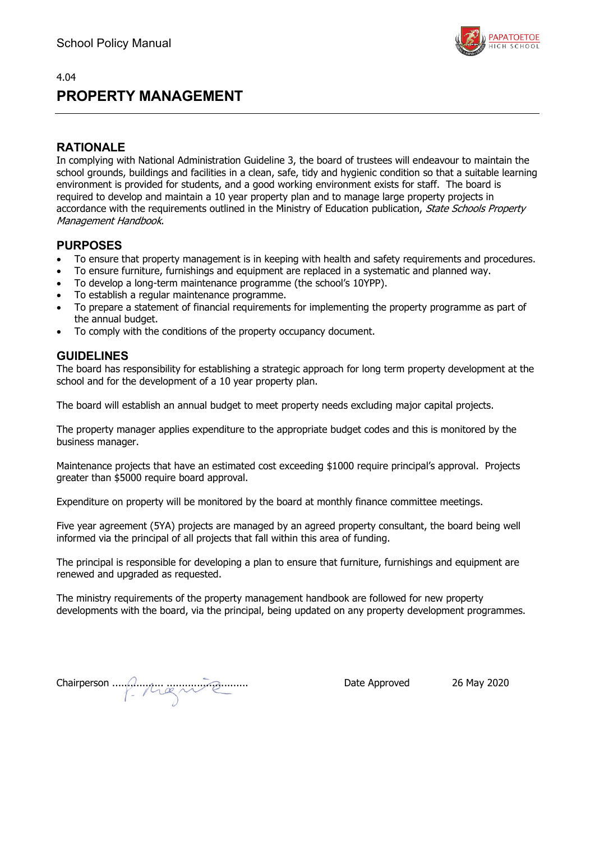

## **PROPERTY MANAGEMENT**

### **RATIONALE**

In complying with National Administration Guideline 3, the board of trustees will endeavour to maintain the school grounds, buildings and facilities in a clean, safe, tidy and hygienic condition so that a suitable learning environment is provided for students, and a good working environment exists for staff. The board is required to develop and maintain a 10 year property plan and to manage large property projects in accordance with the requirements outlined in the Ministry of Education publication, State Schools Property Management Handbook.

### **PURPOSES**

- To ensure that property management is in keeping with health and safety requirements and procedures.
- To ensure furniture, furnishings and equipment are replaced in a systematic and planned way.
- To develop a long-term maintenance programme (the school's 10YPP).
- To establish a regular maintenance programme.
- To prepare a statement of financial requirements for implementing the property programme as part of the annual budget.
- To comply with the conditions of the property occupancy document.

### **GUIDELINES**

The board has responsibility for establishing a strategic approach for long term property development at the school and for the development of a 10 year property plan.

The board will establish an annual budget to meet property needs excluding major capital projects.

The property manager applies expenditure to the appropriate budget codes and this is monitored by the business manager.

Maintenance projects that have an estimated cost exceeding \$1000 require principal's approval. Projects greater than \$5000 require board approval.

Expenditure on property will be monitored by the board at monthly finance committee meetings.

Five year agreement (5YA) projects are managed by an agreed property consultant, the board being well informed via the principal of all projects that fall within this area of funding.

The principal is responsible for developing a plan to ensure that furniture, furnishings and equipment are renewed and upgraded as requested.

The ministry requirements of the property management handbook are followed for new property developments with the board, via the principal, being updated on any property development programmes.

Chairperson ................. ........................... Date Approved 26 May 2020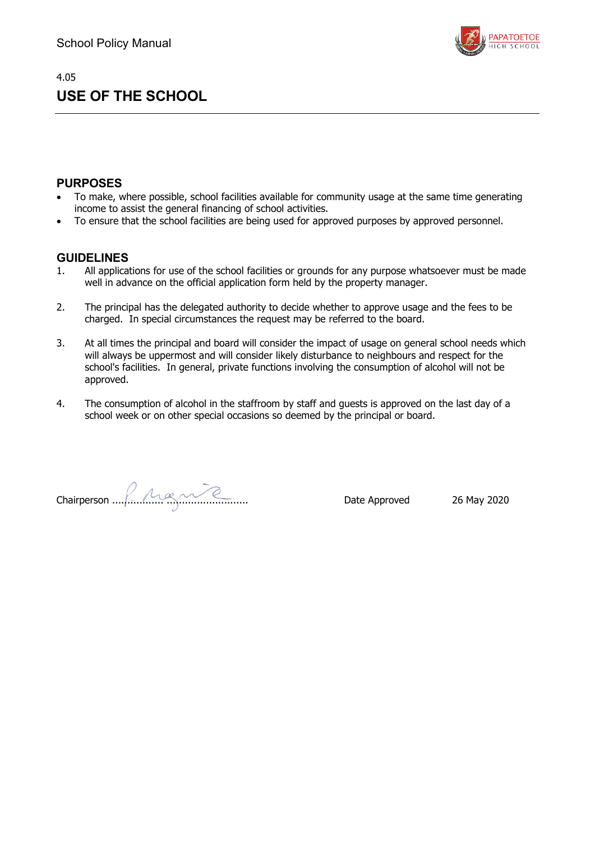

# **USE OF THE SCHOOL**

### **PURPOSES**

4.05

- To make, where possible, school facilities available for community usage at the same time generating income to assist the general financing of school activities.
- To ensure that the school facilities are being used for approved purposes by approved personnel.

- 1. All applications for use of the school facilities or grounds for any purpose whatsoever must be made well in advance on the official application form held by the property manager.
- 2. The principal has the delegated authority to decide whether to approve usage and the fees to be charged. In special circumstances the request may be referred to the board.
- 3. At all times the principal and board will consider the impact of usage on general school needs which will always be uppermost and will consider likely disturbance to neighbours and respect for the school's facilities. In general, private functions involving the consumption of alcohol will not be approved.
- 4. The consumption of alcohol in the staffroom by staff and guests is approved on the last day of a school week or on other special occasions so deemed by the principal or board.

Chairperson ................. ........................... Date Approved 26 May 2020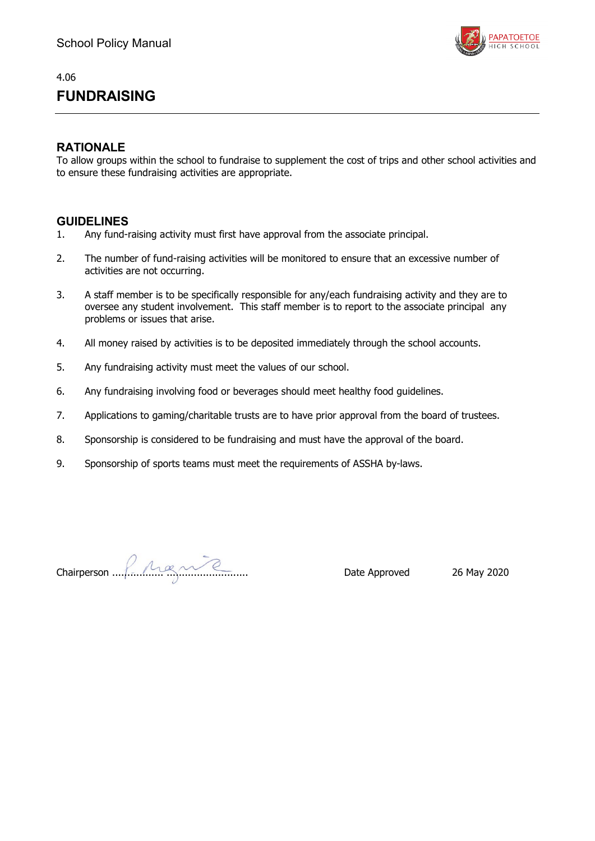

# **FUNDRAISING**

### **RATIONALE**

To allow groups within the school to fundraise to supplement the cost of trips and other school activities and to ensure these fundraising activities are appropriate.

- 1. Any fund-raising activity must first have approval from the associate principal.
- 2. The number of fund-raising activities will be monitored to ensure that an excessive number of activities are not occurring.
- 3. A staff member is to be specifically responsible for any/each fundraising activity and they are to oversee any student involvement. This staff member is to report to the associate principal any problems or issues that arise.
- 4. All money raised by activities is to be deposited immediately through the school accounts.
- 5. Any fundraising activity must meet the values of our school.
- 6. Any fundraising involving food or beverages should meet healthy food guidelines.
- 7. Applications to gaming/charitable trusts are to have prior approval from the board of trustees.
- 8. Sponsorship is considered to be fundraising and must have the approval of the board.
- 9. Sponsorship of sports teams must meet the requirements of ASSHA by-laws.

Chairperson ................. ........................... Date Approved 26 May 2020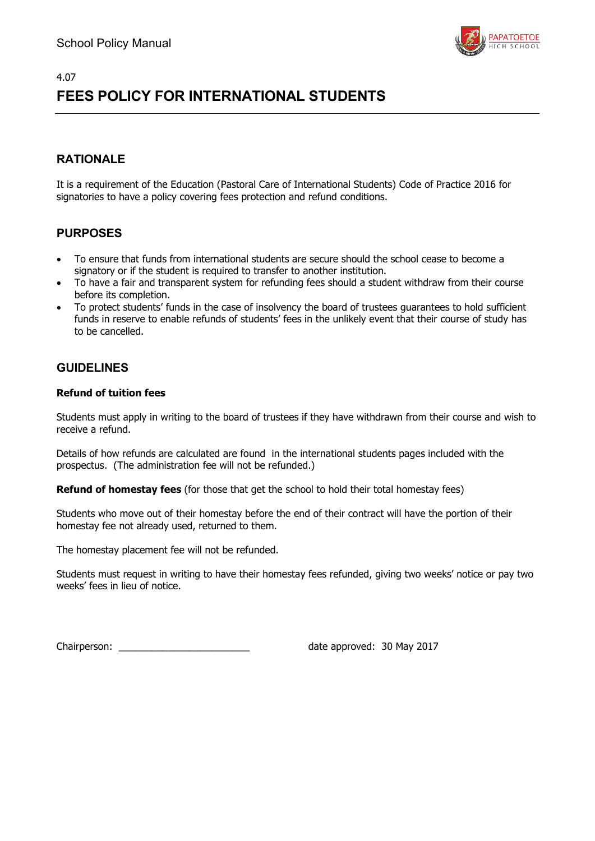

# 4.07 **FEES POLICY FOR INTERNATIONAL STUDENTS**

## **RATIONALE**

It is a requirement of the Education (Pastoral Care of International Students) Code of Practice 2016 for signatories to have a policy covering fees protection and refund conditions.

## **PURPOSES**

- To ensure that funds from international students are secure should the school cease to become a signatory or if the student is required to transfer to another institution.
- To have a fair and transparent system for refunding fees should a student withdraw from their course before its completion.
- To protect students' funds in the case of insolvency the board of trustees guarantees to hold sufficient funds in reserve to enable refunds of students' fees in the unlikely event that their course of study has to be cancelled.

### **GUIDELINES**

### **Refund of tuition fees**

Students must apply in writing to the board of trustees if they have withdrawn from their course and wish to receive a refund.

Details of how refunds are calculated are found in the international students pages included with the prospectus. (The administration fee will not be refunded.)

**Refund of homestay fees** (for those that get the school to hold their total homestay fees)

Students who move out of their homestay before the end of their contract will have the portion of their homestay fee not already used, returned to them.

The homestay placement fee will not be refunded.

Students must request in writing to have their homestay fees refunded, giving two weeks' notice or pay two weeks' fees in lieu of notice.

Chairperson: \_\_\_\_\_\_\_\_\_\_\_\_\_\_\_\_\_\_\_\_\_\_\_\_ date approved: 30 May 2017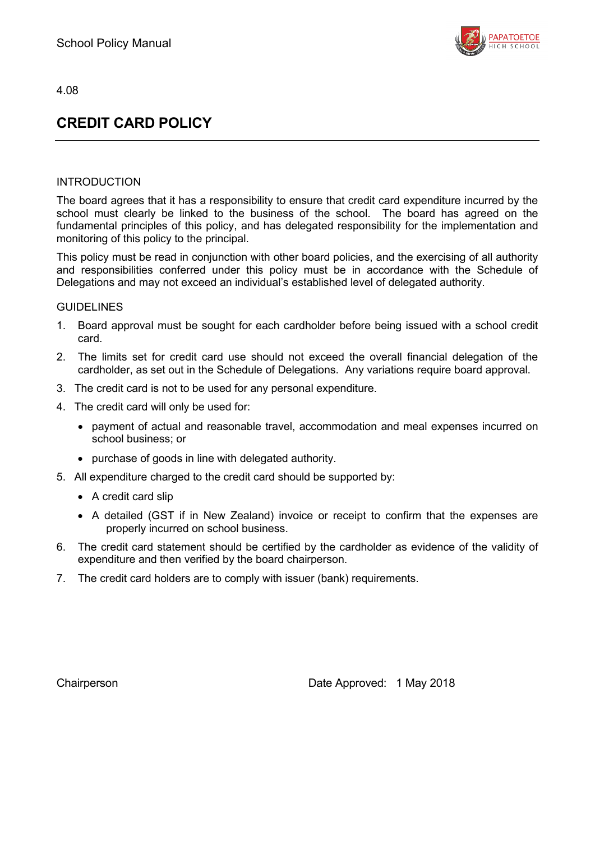

# **CREDIT CARD POLICY**

### INTRODUCTION

The board agrees that it has a responsibility to ensure that credit card expenditure incurred by the school must clearly be linked to the business of the school. The board has agreed on the fundamental principles of this policy, and has delegated responsibility for the implementation and monitoring of this policy to the principal.

This policy must be read in conjunction with other board policies, and the exercising of all authority and responsibilities conferred under this policy must be in accordance with the Schedule of Delegations and may not exceed an individual's established level of delegated authority.

### GUIDELINES

- 1. Board approval must be sought for each cardholder before being issued with a school credit card.
- 2. The limits set for credit card use should not exceed the overall financial delegation of the cardholder, as set out in the Schedule of Delegations. Any variations require board approval.
- 3. The credit card is not to be used for any personal expenditure.
- 4. The credit card will only be used for:
	- payment of actual and reasonable travel, accommodation and meal expenses incurred on school business; or
	- purchase of goods in line with delegated authority.
- 5. All expenditure charged to the credit card should be supported by:
	- A credit card slip
	- A detailed (GST if in New Zealand) invoice or receipt to confirm that the expenses are properly incurred on school business.
- 6. The credit card statement should be certified by the cardholder as evidence of the validity of expenditure and then verified by the board chairperson.
- 7. The credit card holders are to comply with issuer (bank) requirements.

Chairperson Date Approved: 1 May 2018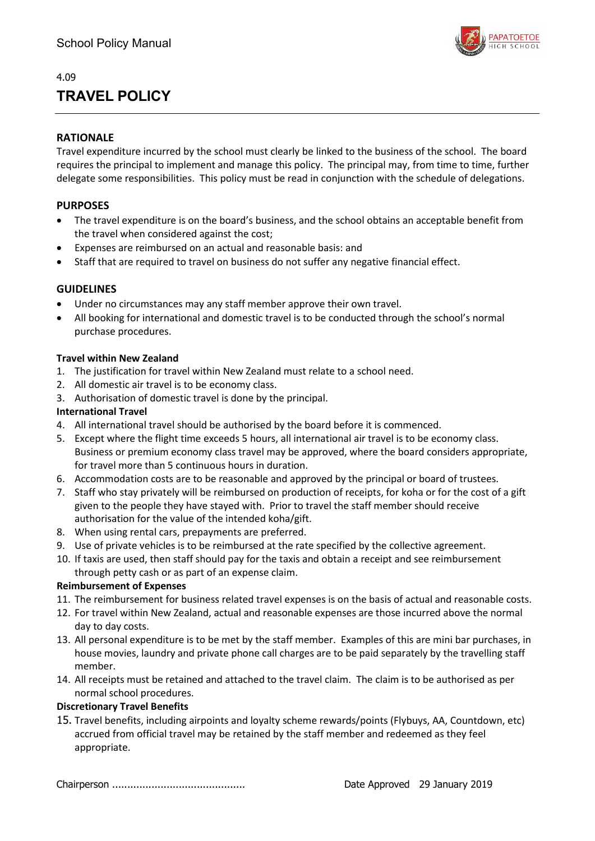

# **TRAVEL POLICY**

### **RATIONALE**

Travel expenditure incurred by the school must clearly be linked to the business of the school. The board requires the principal to implement and manage this policy. The principal may, from time to time, further delegate some responsibilities. This policy must be read in conjunction with the schedule of delegations.

### **PURPOSES**

- The travel expenditure is on the board's business, and the school obtains an acceptable benefit from the travel when considered against the cost;
- Expenses are reimbursed on an actual and reasonable basis: and
- Staff that are required to travel on business do not suffer any negative financial effect.

### **GUIDELINES**

- Under no circumstances may any staff member approve their own travel.
- All booking for international and domestic travel is to be conducted through the school's normal purchase procedures.

### **Travel within New Zealand**

- 1. The justification for travel within New Zealand must relate to a school need.
- 2. All domestic air travel is to be economy class.
- 3. Authorisation of domestic travel is done by the principal.

### **International Travel**

- 4. All international travel should be authorised by the board before it is commenced.
- 5. Except where the flight time exceeds 5 hours, all international air travel is to be economy class. Business or premium economy class travel may be approved, where the board considers appropriate, for travel more than 5 continuous hours in duration.
- 6. Accommodation costs are to be reasonable and approved by the principal or board of trustees.
- 7. Staff who stay privately will be reimbursed on production of receipts, for koha or for the cost of a gift given to the people they have stayed with. Prior to travel the staff member should receive authorisation for the value of the intended koha/gift.
- 8. When using rental cars, prepayments are preferred.
- 9. Use of private vehicles is to be reimbursed at the rate specified by the collective agreement.
- 10. If taxis are used, then staff should pay for the taxis and obtain a receipt and see reimbursement through petty cash or as part of an expense claim.

### **Reimbursement of Expenses**

- 11. The reimbursement for business related travel expenses is on the basis of actual and reasonable costs.
- 12. For travel within New Zealand, actual and reasonable expenses are those incurred above the normal day to day costs.
- 13. All personal expenditure is to be met by the staff member. Examples of this are mini bar purchases, in house movies, laundry and private phone call charges are to be paid separately by the travelling staff member.
- 14. All receipts must be retained and attached to the travel claim. The claim is to be authorised as per normal school procedures.

### **Discretionary Travel Benefits**

15. Travel benefits, including airpoints and loyalty scheme rewards/points (Flybuys, AA, Countdown, etc) accrued from official travel may be retained by the staff member and redeemed as they feel appropriate.

Chairperson ............................................ Date Approved 29 January 2019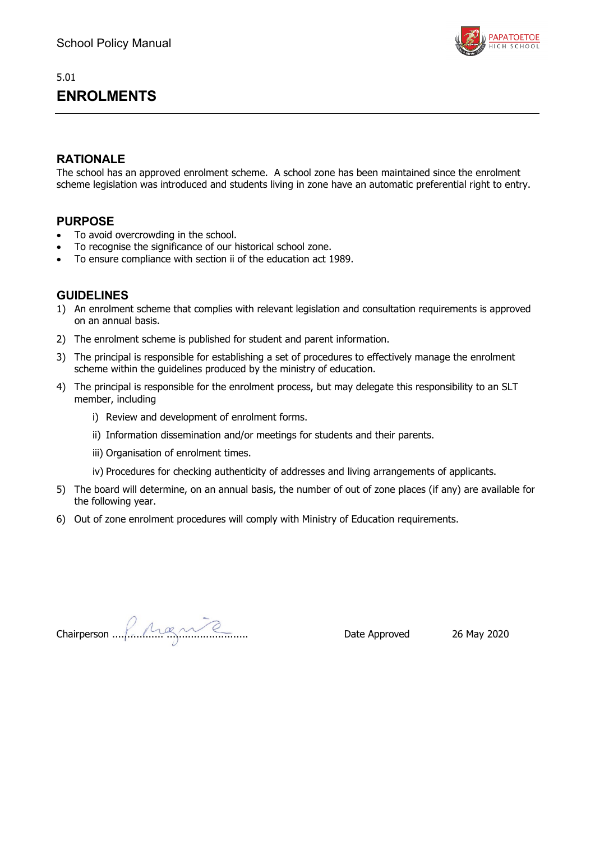

## 5.01 **ENROLMENTS**

## **RATIONALE**

The school has an approved enrolment scheme. A school zone has been maintained since the enrolment scheme legislation was introduced and students living in zone have an automatic preferential right to entry.

## **PURPOSE**

- To avoid overcrowding in the school.
- To recognise the significance of our historical school zone.
- To ensure compliance with section ii of the education act 1989.

- 1) An enrolment scheme that complies with relevant legislation and consultation requirements is approved on an annual basis.
- 2) The enrolment scheme is published for student and parent information.
- 3) The principal is responsible for establishing a set of procedures to effectively manage the enrolment scheme within the guidelines produced by the ministry of education.
- 4) The principal is responsible for the enrolment process, but may delegate this responsibility to an SLT member, including
	- i) Review and development of enrolment forms.
	- ii) Information dissemination and/or meetings for students and their parents.
	- iii) Organisation of enrolment times.
	- iv) Procedures for checking authenticity of addresses and living arrangements of applicants.
- 5) The board will determine, on an annual basis, the number of out of zone places (if any) are available for the following year.
- 6) Out of zone enrolment procedures will comply with Ministry of Education requirements.

Chairperson ................. ........................... Date Approved 26 May 2020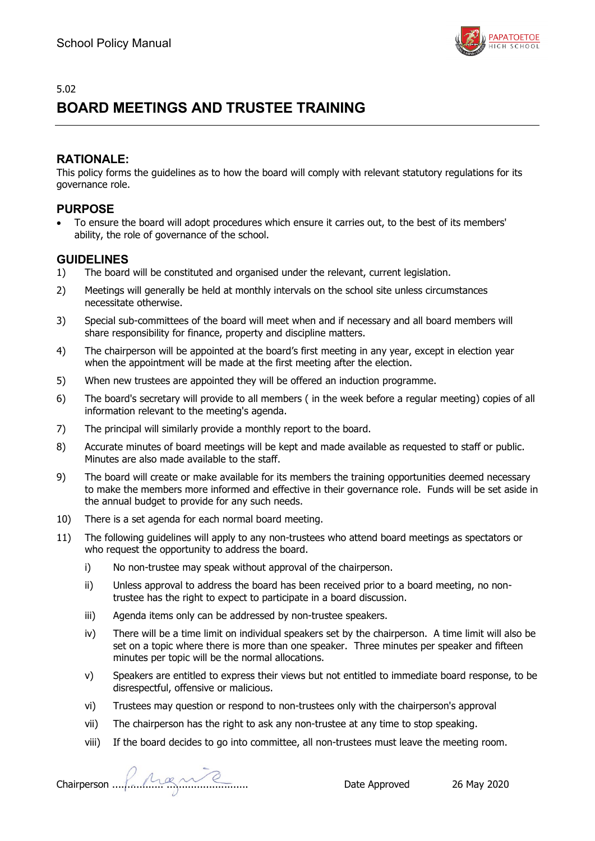

# **BOARD MEETINGS AND TRUSTEE TRAINING**

## **RATIONALE:**

This policy forms the guidelines as to how the board will comply with relevant statutory regulations for its governance role.

### **PURPOSE**

• To ensure the board will adopt procedures which ensure it carries out, to the best of its members' ability, the role of governance of the school.

- 1) The board will be constituted and organised under the relevant, current legislation.
- 2) Meetings will generally be held at monthly intervals on the school site unless circumstances necessitate otherwise.
- 3) Special sub-committees of the board will meet when and if necessary and all board members will share responsibility for finance, property and discipline matters.
- 4) The chairperson will be appointed at the board's first meeting in any year, except in election year when the appointment will be made at the first meeting after the election.
- 5) When new trustees are appointed they will be offered an induction programme.
- 6) The board's secretary will provide to all members ( in the week before a regular meeting) copies of all information relevant to the meeting's agenda.
- 7) The principal will similarly provide a monthly report to the board.
- 8) Accurate minutes of board meetings will be kept and made available as requested to staff or public. Minutes are also made available to the staff.
- 9) The board will create or make available for its members the training opportunities deemed necessary to make the members more informed and effective in their governance role. Funds will be set aside in the annual budget to provide for any such needs.
- 10) There is a set agenda for each normal board meeting.
- 11) The following guidelines will apply to any non-trustees who attend board meetings as spectators or who request the opportunity to address the board.
	- i) No non-trustee may speak without approval of the chairperson.
	- ii) Unless approval to address the board has been received prior to a board meeting, no nontrustee has the right to expect to participate in a board discussion.
	- iii) Agenda items only can be addressed by non-trustee speakers.
	- iv) There will be a time limit on individual speakers set by the chairperson. A time limit will also be set on a topic where there is more than one speaker. Three minutes per speaker and fifteen minutes per topic will be the normal allocations.
	- v) Speakers are entitled to express their views but not entitled to immediate board response, to be disrespectful, offensive or malicious.
	- vi) Trustees may question or respond to non-trustees only with the chairperson's approval
	- vii) The chairperson has the right to ask any non-trustee at any time to stop speaking.
	- viii) If the board decides to go into committee, all non-trustees must leave the meeting room.

Chairperson ................. ........................... Date Approved 26 May 2020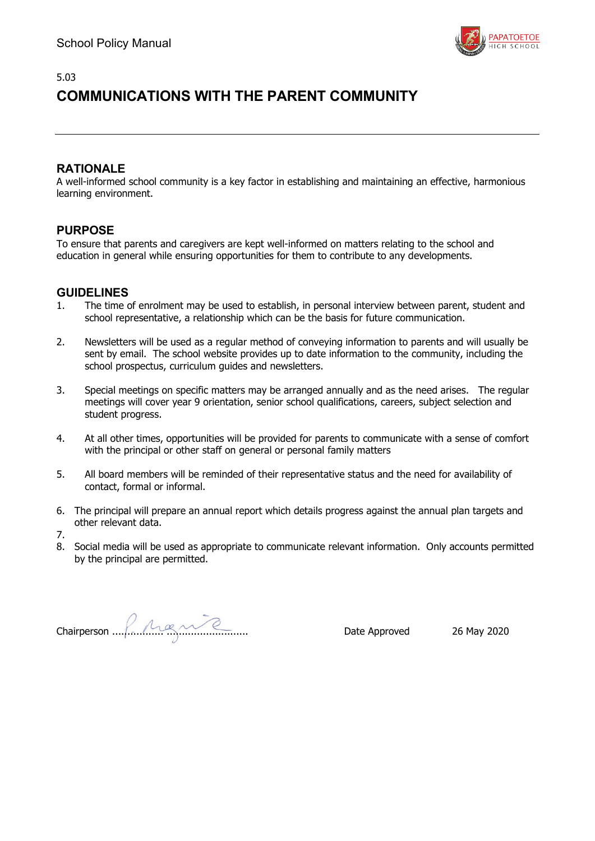

## 5.03 **COMMUNICATIONS WITH THE PARENT COMMUNITY**

## **RATIONALE**

A well-informed school community is a key factor in establishing and maintaining an effective, harmonious learning environment.

## **PURPOSE**

To ensure that parents and caregivers are kept well-informed on matters relating to the school and education in general while ensuring opportunities for them to contribute to any developments.

- 1. The time of enrolment may be used to establish, in personal interview between parent, student and school representative, a relationship which can be the basis for future communication.
- 2. Newsletters will be used as a regular method of conveying information to parents and will usually be sent by email. The school website provides up to date information to the community, including the school prospectus, curriculum guides and newsletters.
- 3. Special meetings on specific matters may be arranged annually and as the need arises. The regular meetings will cover year 9 orientation, senior school qualifications, careers, subject selection and student progress.
- 4. At all other times, opportunities will be provided for parents to communicate with a sense of comfort with the principal or other staff on general or personal family matters
- 5. All board members will be reminded of their representative status and the need for availability of contact, formal or informal.
- 6. The principal will prepare an annual report which details progress against the annual plan targets and other relevant data.
- 7.
- 8. Social media will be used as appropriate to communicate relevant information. Only accounts permitted by the principal are permitted.

Chairperson ................. ........................... Date Approved 26 May 2020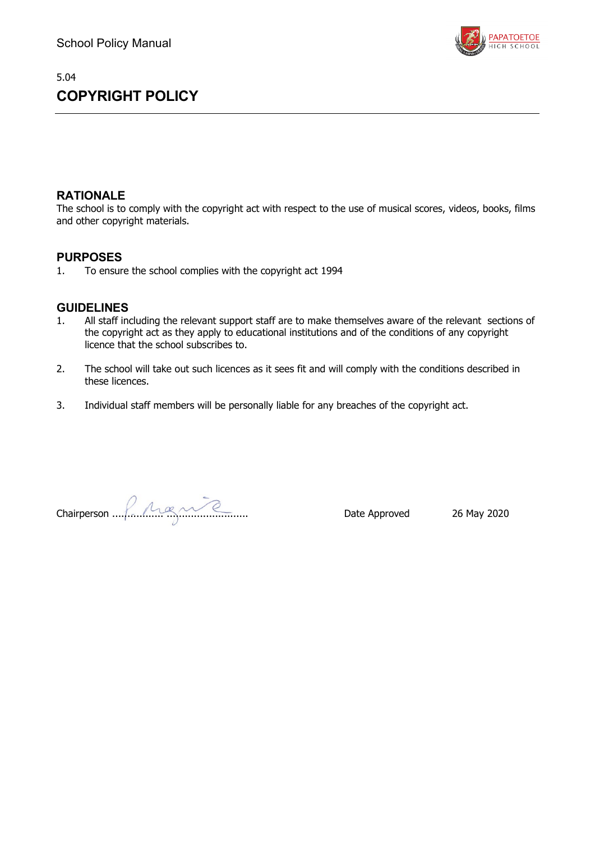# 5.04 **COPYRIGHT POLICY**



## **RATIONALE**

The school is to comply with the copyright act with respect to the use of musical scores, videos, books, films and other copyright materials.

### **PURPOSES**

1. To ensure the school complies with the copyright act 1994

- 1. All staff including the relevant support staff are to make themselves aware of the relevant sections of the copyright act as they apply to educational institutions and of the conditions of any copyright licence that the school subscribes to.
- 2. The school will take out such licences as it sees fit and will comply with the conditions described in these licences.
- 3. Individual staff members will be personally liable for any breaches of the copyright act.

Chairperson ................. ........................... Date Approved 26 May 2020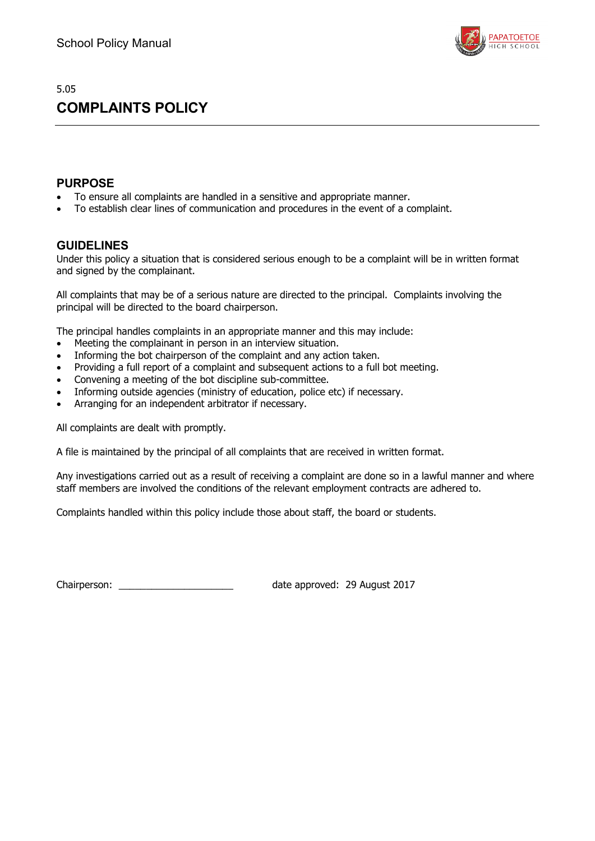

# **COMPLAINTS POLICY**

### **PURPOSE**

- To ensure all complaints are handled in a sensitive and appropriate manner.
- To establish clear lines of communication and procedures in the event of a complaint.

### **GUIDELINES**

Under this policy a situation that is considered serious enough to be a complaint will be in written format and signed by the complainant.

All complaints that may be of a serious nature are directed to the principal. Complaints involving the principal will be directed to the board chairperson.

The principal handles complaints in an appropriate manner and this may include:

- Meeting the complainant in person in an interview situation.
- Informing the bot chairperson of the complaint and any action taken.
- Providing a full report of a complaint and subsequent actions to a full bot meeting.
- Convening a meeting of the bot discipline sub-committee.
- Informing outside agencies (ministry of education, police etc) if necessary.
- Arranging for an independent arbitrator if necessary.

All complaints are dealt with promptly.

A file is maintained by the principal of all complaints that are received in written format.

Any investigations carried out as a result of receiving a complaint are done so in a lawful manner and where staff members are involved the conditions of the relevant employment contracts are adhered to.

Complaints handled within this policy include those about staff, the board or students.

Chairperson: Chairperson: Chairperson: Chairperson: 29 August 2017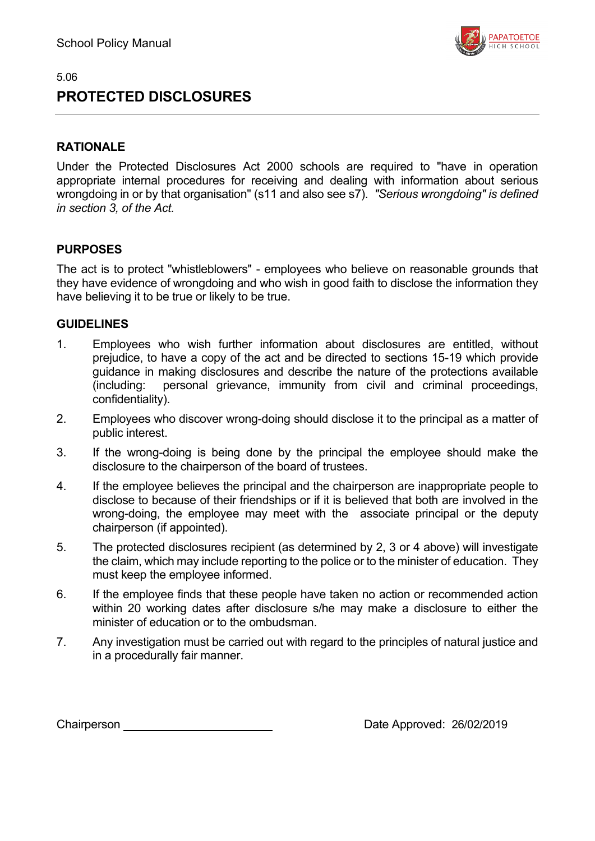

# **PROTECTED DISCLOSURES**

## **RATIONALE**

Under the Protected Disclosures Act 2000 schools are required to "have in operation appropriate internal procedures for receiving and dealing with information about serious wrongdoing in or by that organisation" (s11 and also see s7). *"Serious wrongdoing" is defined in section 3, of the Act.*

## **PURPOSES**

The act is to protect "whistleblowers" - employees who believe on reasonable grounds that they have evidence of wrongdoing and who wish in good faith to disclose the information they have believing it to be true or likely to be true.

### **GUIDELINES**

- 1. Employees who wish further information about disclosures are entitled, without prejudice, to have a copy of the act and be directed to sections 15-19 which provide guidance in making disclosures and describe the nature of the protections available (including: personal grievance, immunity from civil and criminal proceedings, confidentiality).
- 2. Employees who discover wrong-doing should disclose it to the principal as a matter of public interest.
- 3. If the wrong-doing is being done by the principal the employee should make the disclosure to the chairperson of the board of trustees.
- 4. If the employee believes the principal and the chairperson are inappropriate people to disclose to because of their friendships or if it is believed that both are involved in the wrong-doing, the employee may meet with the associate principal or the deputy chairperson (if appointed).
- 5. The protected disclosures recipient (as determined by 2, 3 or 4 above) will investigate the claim, which may include reporting to the police or to the minister of education. They must keep the employee informed.
- 6. If the employee finds that these people have taken no action or recommended action within 20 working dates after disclosure s/he may make a disclosure to either the minister of education or to the ombudsman.
- 7. Any investigation must be carried out with regard to the principles of natural justice and in a procedurally fair manner.

Chairperson **Chairperson** Date Approved: 26/02/2019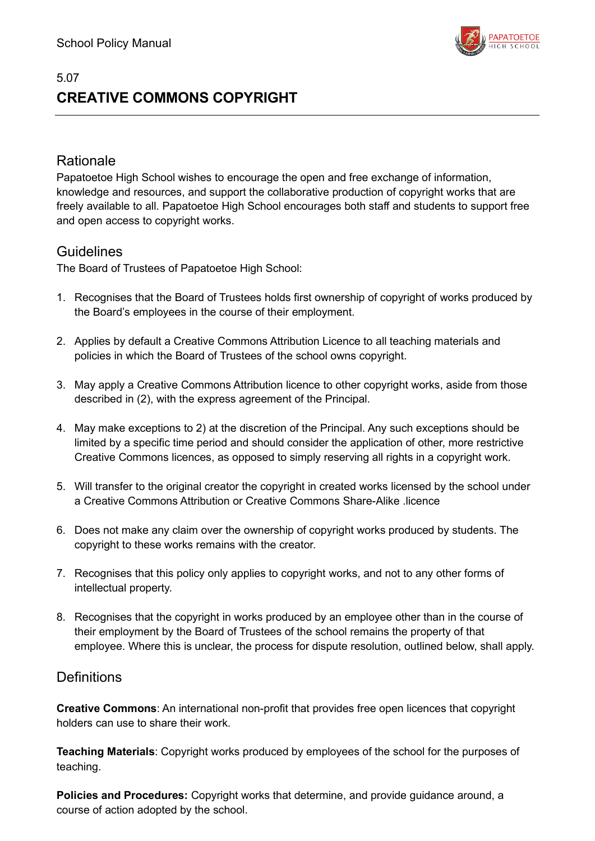

# 5.07 **CREATIVE COMMONS COPYRIGHT**

## Rationale

Papatoetoe High School wishes to encourage the open and free exchange of information, knowledge and resources, and support the collaborative production of copyright works that are freely available to all. Papatoetoe High School encourages both staff and students to support free and open access to copyright works.

## **Guidelines**

The Board of Trustees of Papatoetoe High School:

- 1. Recognises that the Board of Trustees holds first ownership of copyright of works produced by the Board's employees in the course of their employment.
- 2. Applies by default a Creative Commons Attribution Licence to all teaching materials and policies in which the Board of Trustees of the school owns copyright.
- 3. May apply a Creative Commons Attribution licence to other copyright works, aside from those described in (2), with the express agreement of the Principal.
- 4. May make exceptions to 2) at the discretion of the Principal. Any such exceptions should be limited by a specific time period and should consider the application of other, more restrictive Creative Commons licences, as opposed to simply reserving all rights in a copyright work.
- 5. Will transfer to the original creator the copyright in created works licensed by the school under a Creative Commons Attribution or Creative Commons Share-Alike .licence
- 6. Does not make any claim over the ownership of copyright works produced by students. The copyright to these works remains with the creator.
- 7. Recognises that this policy only applies to copyright works, and not to any other forms of intellectual property.
- 8. Recognises that the copyright in works produced by an employee other than in the course of their employment by the Board of Trustees of the school remains the property of that employee. Where this is unclear, the process for dispute resolution, outlined below, shall apply.

## **Definitions**

**Creative Commons**: An international non-profit that provides free open licences that copyright holders can use to share their work.

**Teaching Materials**: Copyright works produced by employees of the school for the purposes of teaching.

**Policies and Procedures:** Copyright works that determine, and provide guidance around, a course of action adopted by the school.